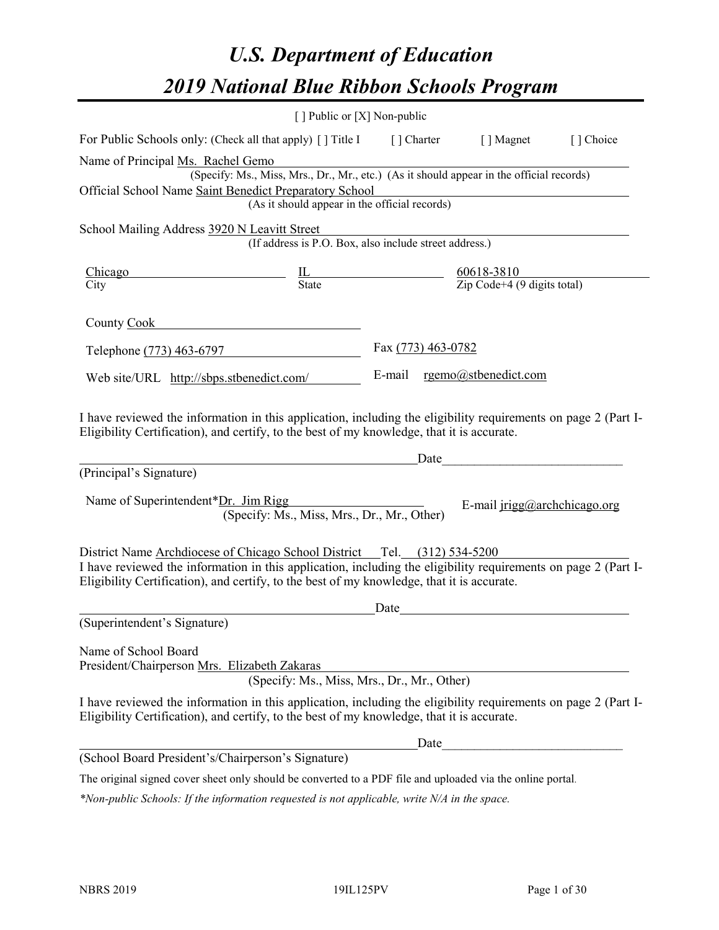# *U.S. Department of Education 2019 National Blue Ribbon Schools Program*

|                                                                                                                                                                                                                                                                                          | [] Public or [X] Non-public                                                                                                                                 |                    |                                                                                                                      |           |
|------------------------------------------------------------------------------------------------------------------------------------------------------------------------------------------------------------------------------------------------------------------------------------------|-------------------------------------------------------------------------------------------------------------------------------------------------------------|--------------------|----------------------------------------------------------------------------------------------------------------------|-----------|
| For Public Schools only: (Check all that apply) [] Title I [] Charter [] Magnet                                                                                                                                                                                                          |                                                                                                                                                             |                    |                                                                                                                      | [] Choice |
| Name of Principal Ms. Rachel Gemo<br>Official School Name Saint Benedict Preparatory School                                                                                                                                                                                              | s. Rachel Gemo<br>(Specify: Ms., Miss, Mrs., Dr., Mr., etc.) (As it should appear in the official records)<br>(As it should appear in the official records) |                    |                                                                                                                      |           |
| School Mailing Address 3920 N Leavitt Street                                                                                                                                                                                                                                             | Leavitt Street<br>(If address is P.O. Box, also include street address.)                                                                                    |                    |                                                                                                                      |           |
| $\frac{\text{Chicago}}{\text{City}}$ $\frac{\text{IL}}{\text{State}}$ $\frac{60618-3810}{\text{Zip Code}+4 (9 digits total)}$                                                                                                                                                            |                                                                                                                                                             |                    |                                                                                                                      |           |
| County Cook Countries                                                                                                                                                                                                                                                                    |                                                                                                                                                             |                    |                                                                                                                      |           |
| Telephone (773) 463-6797                                                                                                                                                                                                                                                                 |                                                                                                                                                             | Fax (773) 463-0782 |                                                                                                                      |           |
| Web site/URL http://sbps.stbenedict.com/                                                                                                                                                                                                                                                 |                                                                                                                                                             |                    | E-mail rgemo@stbenedict.com                                                                                          |           |
| I have reviewed the information in this application, including the eligibility requirements on page 2 (Part I-<br>Eligibility Certification), and certify, to the best of my knowledge, that it is accurate.<br>(Principal's Signature)<br>Name of Superintendent*Dr. Jim Rigg           | (Specify: Ms., Miss, Mrs., Dr., Mr., Other)                                                                                                                 | Date               | E-mail $irigg@archchicago.org$                                                                                       |           |
| District Name Archdiocese of Chicago School District Tel. (312) 534-5200<br>I have reviewed the information in this application, including the eligibility requirements on page 2 (Part I-<br>Eligibility Certification), and certify, to the best of my knowledge, that it is accurate. |                                                                                                                                                             |                    |                                                                                                                      |           |
| (Superintendent's Signature)                                                                                                                                                                                                                                                             |                                                                                                                                                             | Date               | <u> 1980 - Jan Stein Stein Stein Stein Stein Stein Stein Stein Stein Stein Stein Stein Stein Stein Stein Stein S</u> |           |
| Name of School Board<br>President/Chairperson Mrs. Elizabeth Zakaras                                                                                                                                                                                                                     | (Specify: Ms., Miss, Mrs., Dr., Mr., Other)                                                                                                                 |                    |                                                                                                                      |           |
| I have reviewed the information in this application, including the eligibility requirements on page 2 (Part I-<br>Eligibility Certification), and certify, to the best of my knowledge, that it is accurate.                                                                             |                                                                                                                                                             |                    |                                                                                                                      |           |
|                                                                                                                                                                                                                                                                                          |                                                                                                                                                             | Date               |                                                                                                                      |           |
| (School Board President's/Chairperson's Signature)                                                                                                                                                                                                                                       |                                                                                                                                                             |                    |                                                                                                                      |           |
| The original signed cover sheet only should be converted to a PDF file and uploaded via the online portal.                                                                                                                                                                               |                                                                                                                                                             |                    |                                                                                                                      |           |

*\*Non-public Schools: If the information requested is not applicable, write N/A in the space.*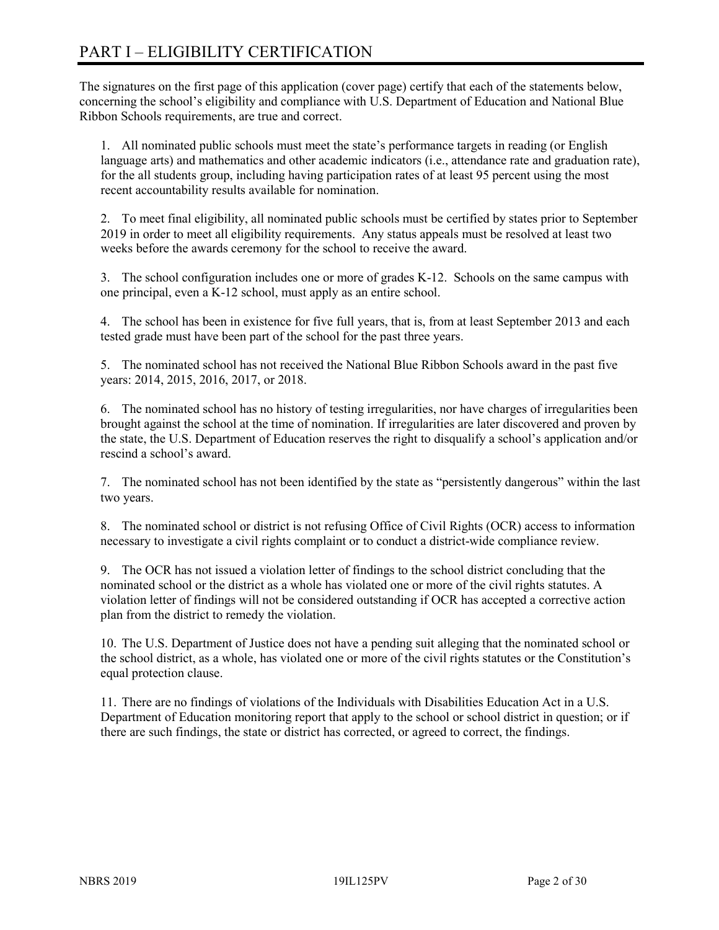# PART I – ELIGIBILITY CERTIFICATION

The signatures on the first page of this application (cover page) certify that each of the statements below, concerning the school's eligibility and compliance with U.S. Department of Education and National Blue Ribbon Schools requirements, are true and correct.

1. All nominated public schools must meet the state's performance targets in reading (or English language arts) and mathematics and other academic indicators (i.e., attendance rate and graduation rate), for the all students group, including having participation rates of at least 95 percent using the most recent accountability results available for nomination.

2. To meet final eligibility, all nominated public schools must be certified by states prior to September 2019 in order to meet all eligibility requirements. Any status appeals must be resolved at least two weeks before the awards ceremony for the school to receive the award.

3. The school configuration includes one or more of grades K-12. Schools on the same campus with one principal, even a K-12 school, must apply as an entire school.

4. The school has been in existence for five full years, that is, from at least September 2013 and each tested grade must have been part of the school for the past three years.

5. The nominated school has not received the National Blue Ribbon Schools award in the past five years: 2014, 2015, 2016, 2017, or 2018.

6. The nominated school has no history of testing irregularities, nor have charges of irregularities been brought against the school at the time of nomination. If irregularities are later discovered and proven by the state, the U.S. Department of Education reserves the right to disqualify a school's application and/or rescind a school's award.

7. The nominated school has not been identified by the state as "persistently dangerous" within the last two years.

8. The nominated school or district is not refusing Office of Civil Rights (OCR) access to information necessary to investigate a civil rights complaint or to conduct a district-wide compliance review.

9. The OCR has not issued a violation letter of findings to the school district concluding that the nominated school or the district as a whole has violated one or more of the civil rights statutes. A violation letter of findings will not be considered outstanding if OCR has accepted a corrective action plan from the district to remedy the violation.

10. The U.S. Department of Justice does not have a pending suit alleging that the nominated school or the school district, as a whole, has violated one or more of the civil rights statutes or the Constitution's equal protection clause.

11. There are no findings of violations of the Individuals with Disabilities Education Act in a U.S. Department of Education monitoring report that apply to the school or school district in question; or if there are such findings, the state or district has corrected, or agreed to correct, the findings.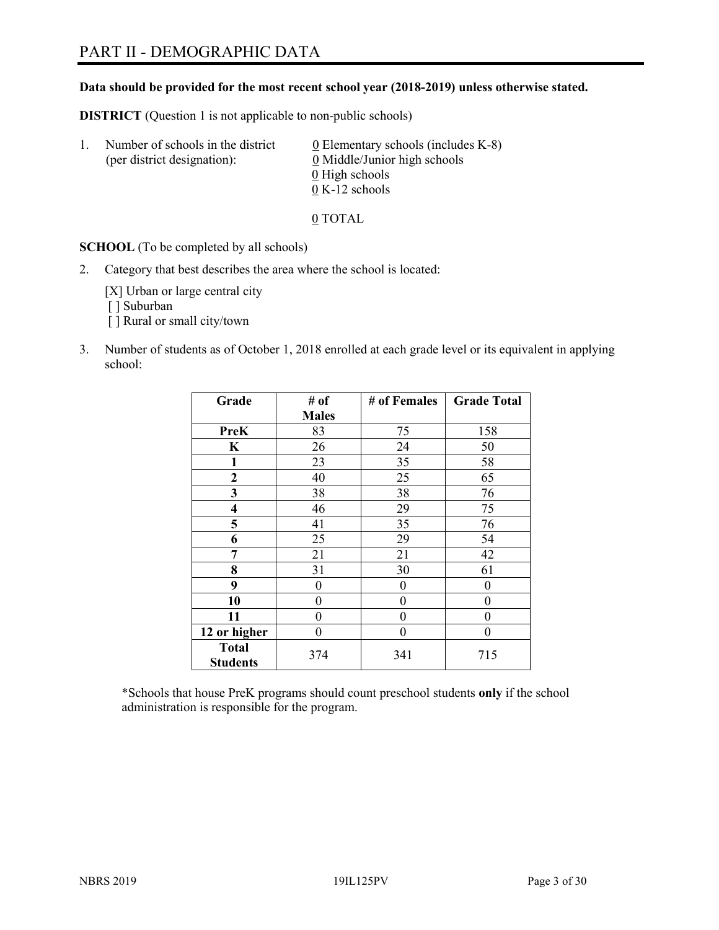### **Data should be provided for the most recent school year (2018-2019) unless otherwise stated.**

**DISTRICT** (Question 1 is not applicable to non-public schools)

| Τ. | Number of schools in the district<br>(per district designation): | 0 Elementary schools (includes K-8)<br>0 Middle/Junior high schools |
|----|------------------------------------------------------------------|---------------------------------------------------------------------|
|    |                                                                  | 0 High schools                                                      |
|    |                                                                  | $0 K-12$ schools                                                    |

0 TOTAL

**SCHOOL** (To be completed by all schools)

2. Category that best describes the area where the school is located:

[X] Urban or large central city [ ] Suburban

- [] Rural or small city/town
- 3. Number of students as of October 1, 2018 enrolled at each grade level or its equivalent in applying school:

| Grade                           | # of         | # of Females   | <b>Grade Total</b> |
|---------------------------------|--------------|----------------|--------------------|
|                                 | <b>Males</b> |                |                    |
| PreK                            | 83           | 75             | 158                |
| $\bf K$                         | 26           | 24             | 50                 |
| 1                               | 23           | 35             | 58                 |
| 2                               | 40           | 25             | 65                 |
| 3                               | 38           | 38             | 76                 |
| $\overline{\mathbf{4}}$         | 46           | 29             | 75                 |
| 5                               | 41           | 35             | 76                 |
| 6                               | 25           | 29             | 54                 |
| 7                               | 21           | 21             | 42                 |
| 8                               | 31           | 30             | 61                 |
| 9                               | 0            | $\theta$       | 0                  |
| 10                              | 0            | $\overline{0}$ | 0                  |
| 11                              | 0            | $\theta$       | 0                  |
| 12 or higher                    | 0            | $\theta$       | 0                  |
| <b>Total</b><br><b>Students</b> | 374          | 341            | 715                |

\*Schools that house PreK programs should count preschool students **only** if the school administration is responsible for the program.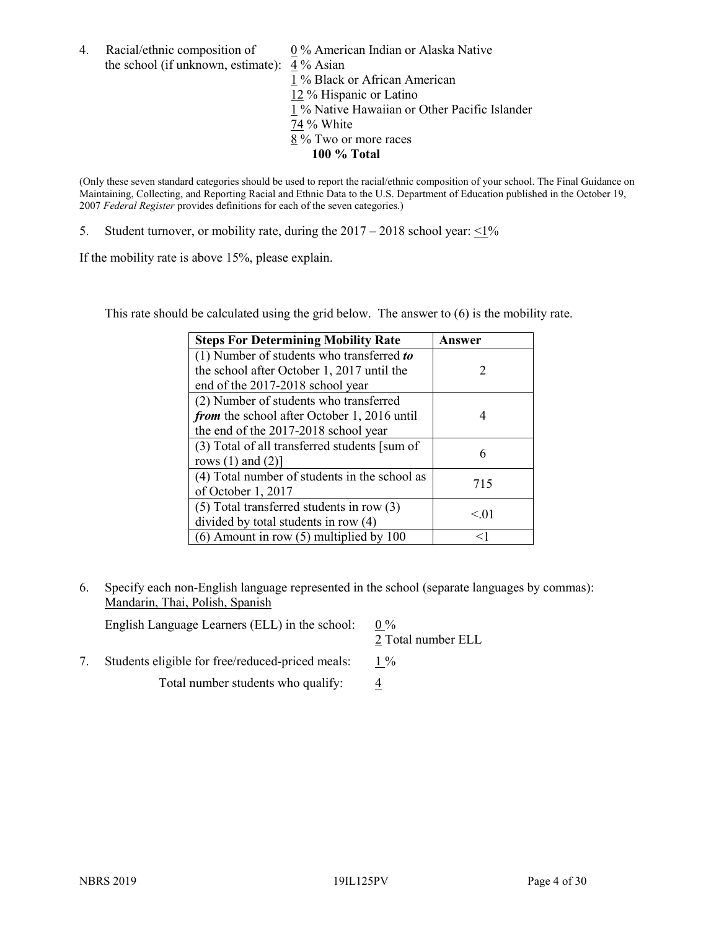4. Racial/ethnic composition of  $0\%$  American Indian or Alaska Native the school (if unknown, estimate): 4 % Asian 1 % Black or African American 12 % Hispanic or Latino 1 % Native Hawaiian or Other Pacific Islander 74 % White

(Only these seven standard categories should be used to report the racial/ethnic composition of your school. The Final Guidance on Maintaining, Collecting, and Reporting Racial and Ethnic Data to the U.S. Department of Education published in the October 19, 2007 *Federal Register* provides definitions for each of the seven categories.)

8 % Two or more races **100 % Total**

5. Student turnover, or mobility rate, during the  $2017 - 2018$  school year:  $\leq 1\%$ 

If the mobility rate is above 15%, please explain.

This rate should be calculated using the grid below. The answer to (6) is the mobility rate.

| <b>Steps For Determining Mobility Rate</b>    | Answer |
|-----------------------------------------------|--------|
| (1) Number of students who transferred to     |        |
| the school after October 1, 2017 until the    | 2      |
| end of the 2017-2018 school year              |        |
| (2) Number of students who transferred        |        |
| from the school after October 1, 2016 until   | 4      |
| the end of the 2017-2018 school year          |        |
| (3) Total of all transferred students [sum of | 6      |
| rows $(1)$ and $(2)$ ]                        |        |
| (4) Total number of students in the school as | 715    |
| of October 1, 2017                            |        |
| $(5)$ Total transferred students in row $(3)$ | < 01   |
| divided by total students in row (4)          |        |
| $(6)$ Amount in row $(5)$ multiplied by 100   |        |

6. Specify each non-English language represented in the school (separate languages by commas): Mandarin, Thai, Polish, Spanish

| English Language Learners (ELL) in the school:   | $0\%$<br>2 Total number ELL |
|--------------------------------------------------|-----------------------------|
| Students eligible for free/reduced-priced meals: | $1\%$                       |

Total number students who qualify:  $\frac{4}{5}$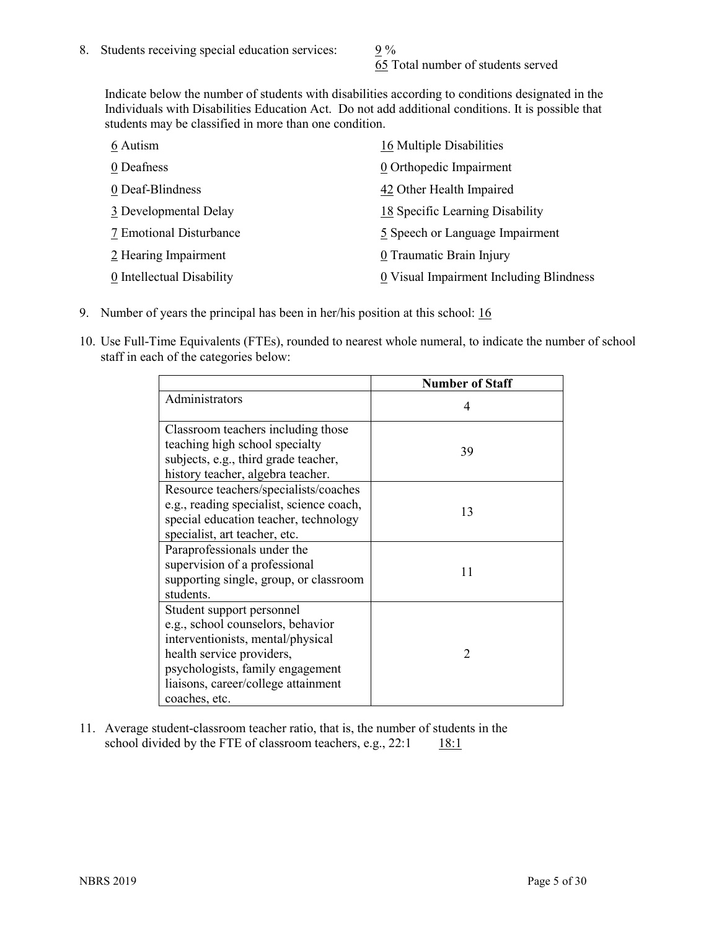65 Total number of students served

Indicate below the number of students with disabilities according to conditions designated in the Individuals with Disabilities Education Act. Do not add additional conditions. It is possible that students may be classified in more than one condition.

| 6 Autism                  | 16 Multiple Disabilities                |
|---------------------------|-----------------------------------------|
| 0 Deafness                | 0 Orthopedic Impairment                 |
| 0 Deaf-Blindness          | 42 Other Health Impaired                |
| 3 Developmental Delay     | 18 Specific Learning Disability         |
| 7 Emotional Disturbance   | 5 Speech or Language Impairment         |
| 2 Hearing Impairment      | 0 Traumatic Brain Injury                |
| 0 Intellectual Disability | 0 Visual Impairment Including Blindness |

- 9. Number of years the principal has been in her/his position at this school: 16
- 10. Use Full-Time Equivalents (FTEs), rounded to nearest whole numeral, to indicate the number of school staff in each of the categories below:

|                                                                                                                                                                                                                              | <b>Number of Staff</b> |
|------------------------------------------------------------------------------------------------------------------------------------------------------------------------------------------------------------------------------|------------------------|
| Administrators                                                                                                                                                                                                               | 4                      |
| Classroom teachers including those<br>teaching high school specialty<br>subjects, e.g., third grade teacher,<br>history teacher, algebra teacher.                                                                            | 39                     |
| Resource teachers/specialists/coaches<br>e.g., reading specialist, science coach,<br>special education teacher, technology<br>specialist, art teacher, etc.                                                                  | 13                     |
| Paraprofessionals under the<br>supervision of a professional<br>supporting single, group, or classroom<br>students.                                                                                                          | 11                     |
| Student support personnel<br>e.g., school counselors, behavior<br>interventionists, mental/physical<br>health service providers,<br>psychologists, family engagement<br>liaisons, career/college attainment<br>coaches, etc. | $\mathfrak{D}$         |

11. Average student-classroom teacher ratio, that is, the number of students in the school divided by the FTE of classroom teachers, e.g.,  $22:1$  18:1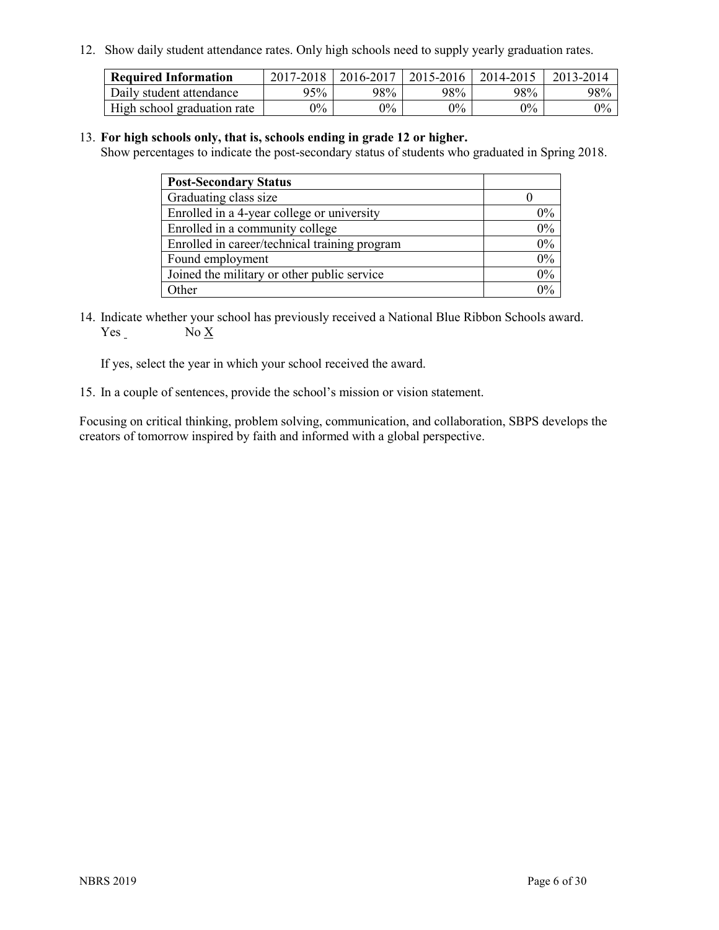12. Show daily student attendance rates. Only high schools need to supply yearly graduation rates.

| <b>Required Information</b> | 2017-2018 | 2016-2017 | 2015-2016 | 2014-2015 | 2013-2014 |
|-----------------------------|-----------|-----------|-----------|-----------|-----------|
| Daily student attendance    | 95%       | 98%       | 98%       | 98%       | 98%       |
| High school graduation rate | $0\%$     | $0\%$     | $0\%$     | $9\%$     | $0\%$     |

#### 13. **For high schools only, that is, schools ending in grade 12 or higher.**

Show percentages to indicate the post-secondary status of students who graduated in Spring 2018.

| <b>Post-Secondary Status</b>                  |       |
|-----------------------------------------------|-------|
| Graduating class size                         |       |
| Enrolled in a 4-year college or university    | $0\%$ |
| Enrolled in a community college               | 0%    |
| Enrolled in career/technical training program | 0%    |
| Found employment                              | 0%    |
| Joined the military or other public service   | 0%    |
| Other                                         | $0\%$ |

14. Indicate whether your school has previously received a National Blue Ribbon Schools award. Yes No X

If yes, select the year in which your school received the award.

15. In a couple of sentences, provide the school's mission or vision statement.

Focusing on critical thinking, problem solving, communication, and collaboration, SBPS develops the creators of tomorrow inspired by faith and informed with a global perspective.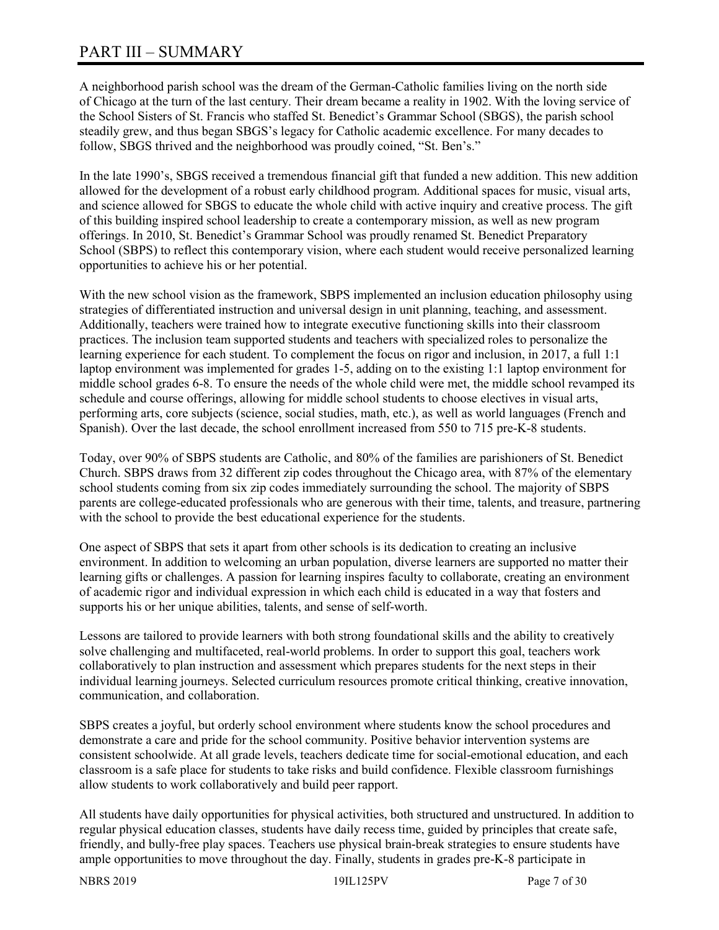A neighborhood parish school was the dream of the German-Catholic families living on the north side of Chicago at the turn of the last century. Their dream became a reality in 1902. With the loving service of the School Sisters of St. Francis who staffed St. Benedict's Grammar School (SBGS), the parish school steadily grew, and thus began SBGS's legacy for Catholic academic excellence. For many decades to follow, SBGS thrived and the neighborhood was proudly coined, "St. Ben's."

In the late 1990's, SBGS received a tremendous financial gift that funded a new addition. This new addition allowed for the development of a robust early childhood program. Additional spaces for music, visual arts, and science allowed for SBGS to educate the whole child with active inquiry and creative process. The gift of this building inspired school leadership to create a contemporary mission, as well as new program offerings. In 2010, St. Benedict's Grammar School was proudly renamed St. Benedict Preparatory School (SBPS) to reflect this contemporary vision, where each student would receive personalized learning opportunities to achieve his or her potential.

With the new school vision as the framework, SBPS implemented an inclusion education philosophy using strategies of differentiated instruction and universal design in unit planning, teaching, and assessment. Additionally, teachers were trained how to integrate executive functioning skills into their classroom practices. The inclusion team supported students and teachers with specialized roles to personalize the learning experience for each student. To complement the focus on rigor and inclusion, in 2017, a full 1:1 laptop environment was implemented for grades 1-5, adding on to the existing 1:1 laptop environment for middle school grades 6-8. To ensure the needs of the whole child were met, the middle school revamped its schedule and course offerings, allowing for middle school students to choose electives in visual arts, performing arts, core subjects (science, social studies, math, etc.), as well as world languages (French and Spanish). Over the last decade, the school enrollment increased from 550 to 715 pre-K-8 students.

Today, over 90% of SBPS students are Catholic, and 80% of the families are parishioners of St. Benedict Church. SBPS draws from 32 different zip codes throughout the Chicago area, with 87% of the elementary school students coming from six zip codes immediately surrounding the school. The majority of SBPS parents are college-educated professionals who are generous with their time, talents, and treasure, partnering with the school to provide the best educational experience for the students.

One aspect of SBPS that sets it apart from other schools is its dedication to creating an inclusive environment. In addition to welcoming an urban population, diverse learners are supported no matter their learning gifts or challenges. A passion for learning inspires faculty to collaborate, creating an environment of academic rigor and individual expression in which each child is educated in a way that fosters and supports his or her unique abilities, talents, and sense of self-worth.

Lessons are tailored to provide learners with both strong foundational skills and the ability to creatively solve challenging and multifaceted, real-world problems. In order to support this goal, teachers work collaboratively to plan instruction and assessment which prepares students for the next steps in their individual learning journeys. Selected curriculum resources promote critical thinking, creative innovation, communication, and collaboration.

SBPS creates a joyful, but orderly school environment where students know the school procedures and demonstrate a care and pride for the school community. Positive behavior intervention systems are consistent schoolwide. At all grade levels, teachers dedicate time for social-emotional education, and each classroom is a safe place for students to take risks and build confidence. Flexible classroom furnishings allow students to work collaboratively and build peer rapport.

All students have daily opportunities for physical activities, both structured and unstructured. In addition to regular physical education classes, students have daily recess time, guided by principles that create safe, friendly, and bully-free play spaces. Teachers use physical brain-break strategies to ensure students have ample opportunities to move throughout the day. Finally, students in grades pre-K-8 participate in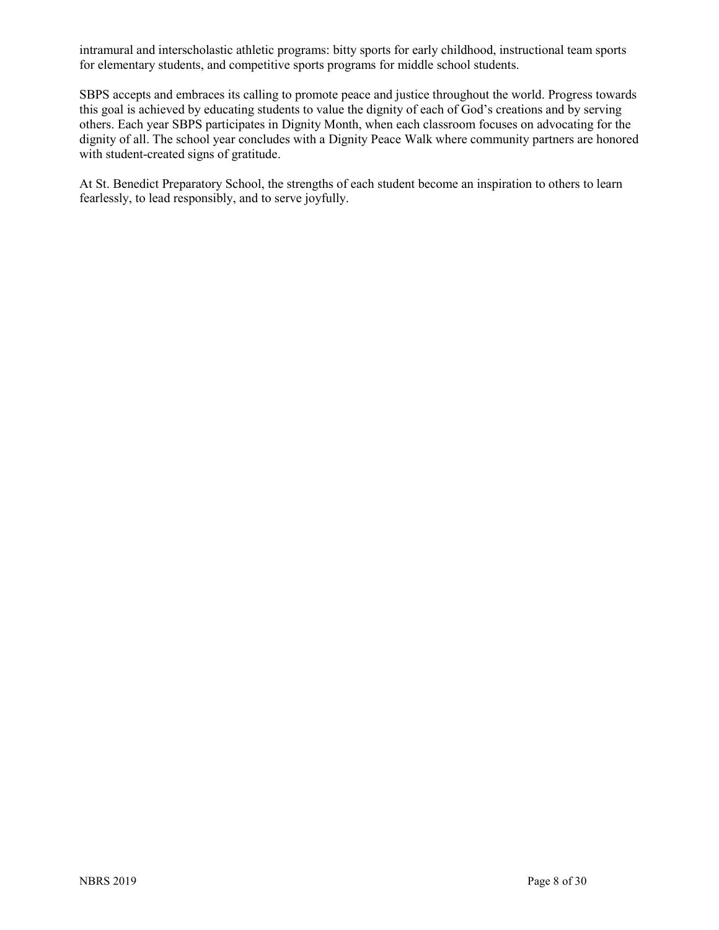intramural and interscholastic athletic programs: bitty sports for early childhood, instructional team sports for elementary students, and competitive sports programs for middle school students.

SBPS accepts and embraces its calling to promote peace and justice throughout the world. Progress towards this goal is achieved by educating students to value the dignity of each of God's creations and by serving others. Each year SBPS participates in Dignity Month, when each classroom focuses on advocating for the dignity of all. The school year concludes with a Dignity Peace Walk where community partners are honored with student-created signs of gratitude.

At St. Benedict Preparatory School, the strengths of each student become an inspiration to others to learn fearlessly, to lead responsibly, and to serve joyfully.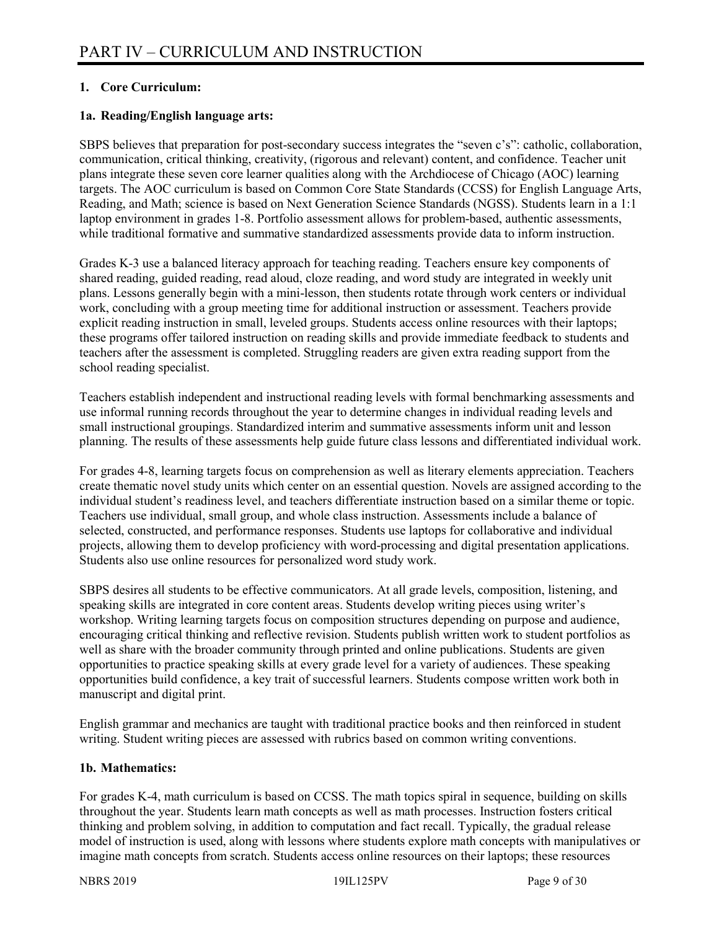### **1. Core Curriculum:**

### **1a. Reading/English language arts:**

SBPS believes that preparation for post-secondary success integrates the "seven c's": catholic, collaboration, communication, critical thinking, creativity, (rigorous and relevant) content, and confidence. Teacher unit plans integrate these seven core learner qualities along with the Archdiocese of Chicago (AOC) learning targets. The AOC curriculum is based on Common Core State Standards (CCSS) for English Language Arts, Reading, and Math; science is based on Next Generation Science Standards (NGSS). Students learn in a 1:1 laptop environment in grades 1-8. Portfolio assessment allows for problem-based, authentic assessments, while traditional formative and summative standardized assessments provide data to inform instruction.

Grades K-3 use a balanced literacy approach for teaching reading. Teachers ensure key components of shared reading, guided reading, read aloud, cloze reading, and word study are integrated in weekly unit plans. Lessons generally begin with a mini-lesson, then students rotate through work centers or individual work, concluding with a group meeting time for additional instruction or assessment. Teachers provide explicit reading instruction in small, leveled groups. Students access online resources with their laptops; these programs offer tailored instruction on reading skills and provide immediate feedback to students and teachers after the assessment is completed. Struggling readers are given extra reading support from the school reading specialist.

Teachers establish independent and instructional reading levels with formal benchmarking assessments and use informal running records throughout the year to determine changes in individual reading levels and small instructional groupings. Standardized interim and summative assessments inform unit and lesson planning. The results of these assessments help guide future class lessons and differentiated individual work.

For grades 4-8, learning targets focus on comprehension as well as literary elements appreciation. Teachers create thematic novel study units which center on an essential question. Novels are assigned according to the individual student's readiness level, and teachers differentiate instruction based on a similar theme or topic. Teachers use individual, small group, and whole class instruction. Assessments include a balance of selected, constructed, and performance responses. Students use laptops for collaborative and individual projects, allowing them to develop proficiency with word-processing and digital presentation applications. Students also use online resources for personalized word study work.

SBPS desires all students to be effective communicators. At all grade levels, composition, listening, and speaking skills are integrated in core content areas. Students develop writing pieces using writer's workshop. Writing learning targets focus on composition structures depending on purpose and audience, encouraging critical thinking and reflective revision. Students publish written work to student portfolios as well as share with the broader community through printed and online publications. Students are given opportunities to practice speaking skills at every grade level for a variety of audiences. These speaking opportunities build confidence, a key trait of successful learners. Students compose written work both in manuscript and digital print.

English grammar and mechanics are taught with traditional practice books and then reinforced in student writing. Student writing pieces are assessed with rubrics based on common writing conventions.

### **1b. Mathematics:**

For grades K-4, math curriculum is based on CCSS. The math topics spiral in sequence, building on skills throughout the year. Students learn math concepts as well as math processes. Instruction fosters critical thinking and problem solving, in addition to computation and fact recall. Typically, the gradual release model of instruction is used, along with lessons where students explore math concepts with manipulatives or imagine math concepts from scratch. Students access online resources on their laptops; these resources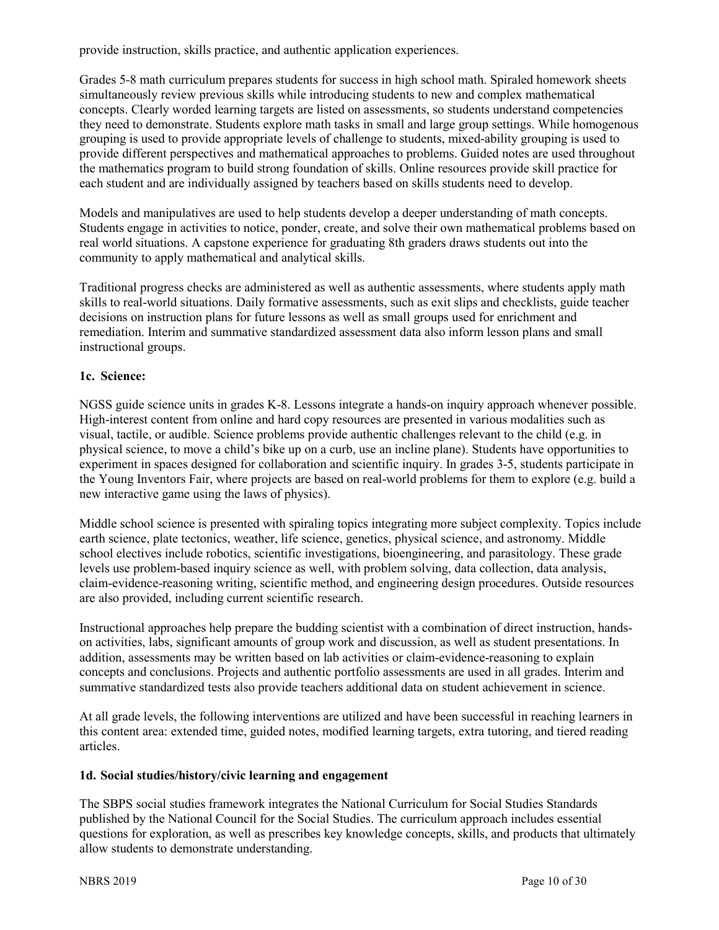provide instruction, skills practice, and authentic application experiences.

Grades 5-8 math curriculum prepares students for success in high school math. Spiraled homework sheets simultaneously review previous skills while introducing students to new and complex mathematical concepts. Clearly worded learning targets are listed on assessments, so students understand competencies they need to demonstrate. Students explore math tasks in small and large group settings. While homogenous grouping is used to provide appropriate levels of challenge to students, mixed-ability grouping is used to provide different perspectives and mathematical approaches to problems. Guided notes are used throughout the mathematics program to build strong foundation of skills. Online resources provide skill practice for each student and are individually assigned by teachers based on skills students need to develop.

Models and manipulatives are used to help students develop a deeper understanding of math concepts. Students engage in activities to notice, ponder, create, and solve their own mathematical problems based on real world situations. A capstone experience for graduating 8th graders draws students out into the community to apply mathematical and analytical skills.

Traditional progress checks are administered as well as authentic assessments, where students apply math skills to real-world situations. Daily formative assessments, such as exit slips and checklists, guide teacher decisions on instruction plans for future lessons as well as small groups used for enrichment and remediation. Interim and summative standardized assessment data also inform lesson plans and small instructional groups.

### **1c. Science:**

NGSS guide science units in grades K-8. Lessons integrate a hands-on inquiry approach whenever possible. High-interest content from online and hard copy resources are presented in various modalities such as visual, tactile, or audible. Science problems provide authentic challenges relevant to the child (e.g. in physical science, to move a child's bike up on a curb, use an incline plane). Students have opportunities to experiment in spaces designed for collaboration and scientific inquiry. In grades 3-5, students participate in the Young Inventors Fair, where projects are based on real-world problems for them to explore (e.g. build a new interactive game using the laws of physics).

Middle school science is presented with spiraling topics integrating more subject complexity. Topics include earth science, plate tectonics, weather, life science, genetics, physical science, and astronomy. Middle school electives include robotics, scientific investigations, bioengineering, and parasitology. These grade levels use problem-based inquiry science as well, with problem solving, data collection, data analysis, claim-evidence-reasoning writing, scientific method, and engineering design procedures. Outside resources are also provided, including current scientific research.

Instructional approaches help prepare the budding scientist with a combination of direct instruction, handson activities, labs, significant amounts of group work and discussion, as well as student presentations. In addition, assessments may be written based on lab activities or claim-evidence-reasoning to explain concepts and conclusions. Projects and authentic portfolio assessments are used in all grades. Interim and summative standardized tests also provide teachers additional data on student achievement in science.

At all grade levels, the following interventions are utilized and have been successful in reaching learners in this content area: extended time, guided notes, modified learning targets, extra tutoring, and tiered reading articles.

### **1d. Social studies/history/civic learning and engagement**

The SBPS social studies framework integrates the National Curriculum for Social Studies Standards published by the National Council for the Social Studies. The curriculum approach includes essential questions for exploration, as well as prescribes key knowledge concepts, skills, and products that ultimately allow students to demonstrate understanding.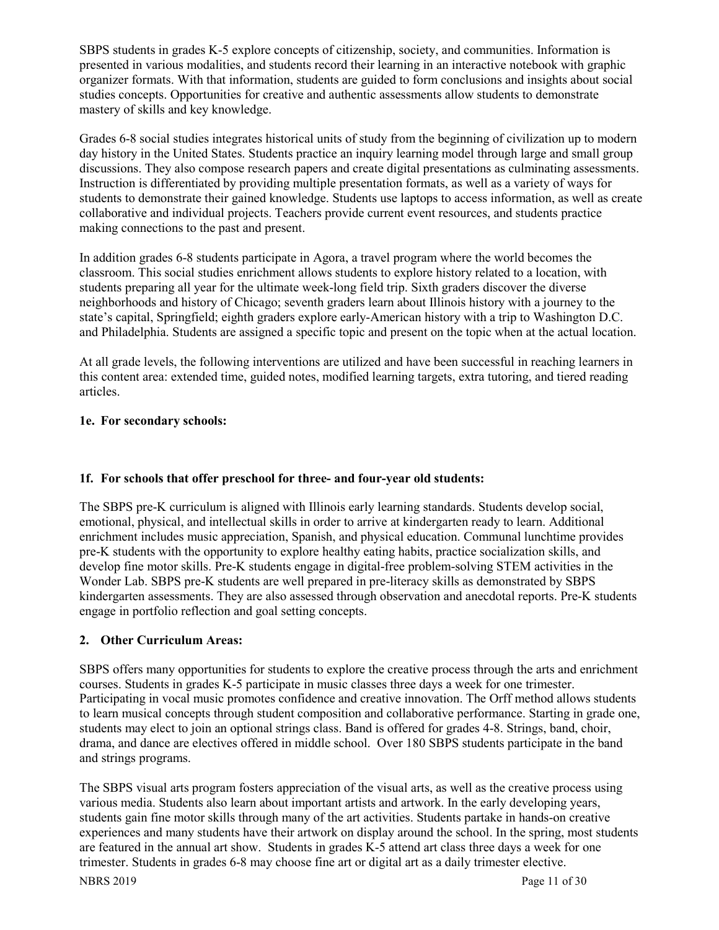SBPS students in grades K-5 explore concepts of citizenship, society, and communities. Information is presented in various modalities, and students record their learning in an interactive notebook with graphic organizer formats. With that information, students are guided to form conclusions and insights about social studies concepts. Opportunities for creative and authentic assessments allow students to demonstrate mastery of skills and key knowledge.

Grades 6-8 social studies integrates historical units of study from the beginning of civilization up to modern day history in the United States. Students practice an inquiry learning model through large and small group discussions. They also compose research papers and create digital presentations as culminating assessments. Instruction is differentiated by providing multiple presentation formats, as well as a variety of ways for students to demonstrate their gained knowledge. Students use laptops to access information, as well as create collaborative and individual projects. Teachers provide current event resources, and students practice making connections to the past and present.

In addition grades 6-8 students participate in Agora, a travel program where the world becomes the classroom. This social studies enrichment allows students to explore history related to a location, with students preparing all year for the ultimate week-long field trip. Sixth graders discover the diverse neighborhoods and history of Chicago; seventh graders learn about Illinois history with a journey to the state's capital, Springfield; eighth graders explore early-American history with a trip to Washington D.C. and Philadelphia. Students are assigned a specific topic and present on the topic when at the actual location.

At all grade levels, the following interventions are utilized and have been successful in reaching learners in this content area: extended time, guided notes, modified learning targets, extra tutoring, and tiered reading articles.

### **1e. For secondary schools:**

### **1f. For schools that offer preschool for three- and four-year old students:**

The SBPS pre-K curriculum is aligned with Illinois early learning standards. Students develop social, emotional, physical, and intellectual skills in order to arrive at kindergarten ready to learn. Additional enrichment includes music appreciation, Spanish, and physical education. Communal lunchtime provides pre-K students with the opportunity to explore healthy eating habits, practice socialization skills, and develop fine motor skills. Pre-K students engage in digital-free problem-solving STEM activities in the Wonder Lab. SBPS pre-K students are well prepared in pre-literacy skills as demonstrated by SBPS kindergarten assessments. They are also assessed through observation and anecdotal reports. Pre-K students engage in portfolio reflection and goal setting concepts.

### **2. Other Curriculum Areas:**

SBPS offers many opportunities for students to explore the creative process through the arts and enrichment courses. Students in grades K-5 participate in music classes three days a week for one trimester. Participating in vocal music promotes confidence and creative innovation. The Orff method allows students to learn musical concepts through student composition and collaborative performance. Starting in grade one, students may elect to join an optional strings class. Band is offered for grades 4-8. Strings, band, choir, drama, and dance are electives offered in middle school. Over 180 SBPS students participate in the band and strings programs.

The SBPS visual arts program fosters appreciation of the visual arts, as well as the creative process using various media. Students also learn about important artists and artwork. In the early developing years, students gain fine motor skills through many of the art activities. Students partake in hands-on creative experiences and many students have their artwork on display around the school. In the spring, most students are featured in the annual art show. Students in grades K-5 attend art class three days a week for one trimester. Students in grades 6-8 may choose fine art or digital art as a daily trimester elective.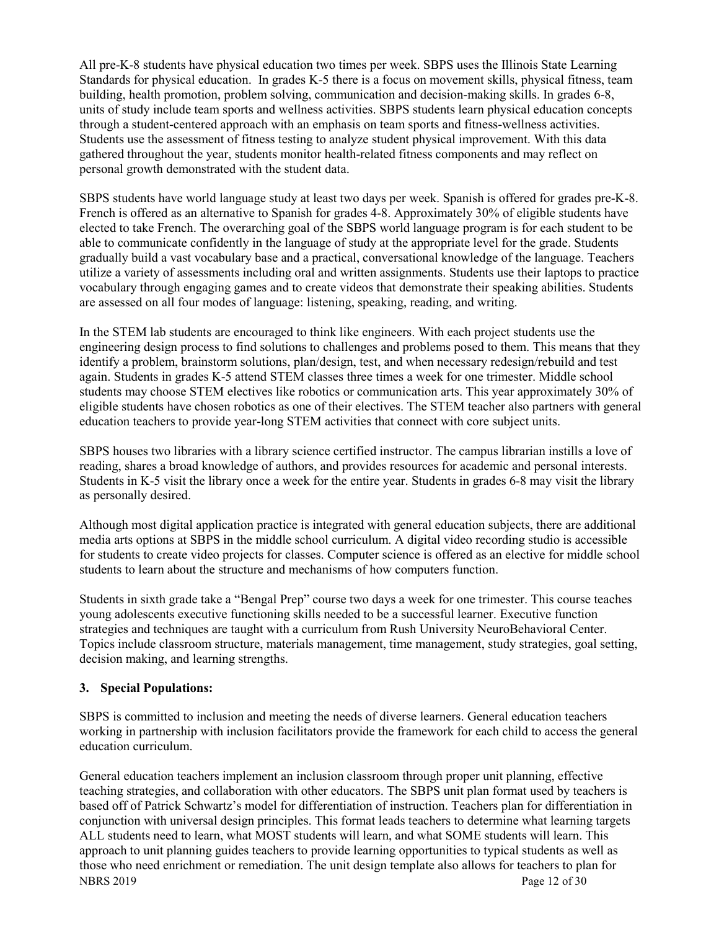All pre-K-8 students have physical education two times per week. SBPS uses the Illinois State Learning Standards for physical education. In grades K-5 there is a focus on movement skills, physical fitness, team building, health promotion, problem solving, communication and decision-making skills. In grades 6-8, units of study include team sports and wellness activities. SBPS students learn physical education concepts through a student-centered approach with an emphasis on team sports and fitness-wellness activities. Students use the assessment of fitness testing to analyze student physical improvement. With this data gathered throughout the year, students monitor health-related fitness components and may reflect on personal growth demonstrated with the student data.

SBPS students have world language study at least two days per week. Spanish is offered for grades pre-K-8. French is offered as an alternative to Spanish for grades 4-8. Approximately 30% of eligible students have elected to take French. The overarching goal of the SBPS world language program is for each student to be able to communicate confidently in the language of study at the appropriate level for the grade. Students gradually build a vast vocabulary base and a practical, conversational knowledge of the language. Teachers utilize a variety of assessments including oral and written assignments. Students use their laptops to practice vocabulary through engaging games and to create videos that demonstrate their speaking abilities. Students are assessed on all four modes of language: listening, speaking, reading, and writing.

In the STEM lab students are encouraged to think like engineers. With each project students use the engineering design process to find solutions to challenges and problems posed to them. This means that they identify a problem, brainstorm solutions, plan/design, test, and when necessary redesign/rebuild and test again. Students in grades K-5 attend STEM classes three times a week for one trimester. Middle school students may choose STEM electives like robotics or communication arts. This year approximately 30% of eligible students have chosen robotics as one of their electives. The STEM teacher also partners with general education teachers to provide year-long STEM activities that connect with core subject units.

SBPS houses two libraries with a library science certified instructor. The campus librarian instills a love of reading, shares a broad knowledge of authors, and provides resources for academic and personal interests. Students in K-5 visit the library once a week for the entire year. Students in grades 6-8 may visit the library as personally desired.

Although most digital application practice is integrated with general education subjects, there are additional media arts options at SBPS in the middle school curriculum. A digital video recording studio is accessible for students to create video projects for classes. Computer science is offered as an elective for middle school students to learn about the structure and mechanisms of how computers function.

Students in sixth grade take a "Bengal Prep" course two days a week for one trimester. This course teaches young adolescents executive functioning skills needed to be a successful learner. Executive function strategies and techniques are taught with a curriculum from Rush University NeuroBehavioral Center. Topics include classroom structure, materials management, time management, study strategies, goal setting, decision making, and learning strengths.

### **3. Special Populations:**

SBPS is committed to inclusion and meeting the needs of diverse learners. General education teachers working in partnership with inclusion facilitators provide the framework for each child to access the general education curriculum.

NBRS 2019 Page 12 of 30 General education teachers implement an inclusion classroom through proper unit planning, effective teaching strategies, and collaboration with other educators. The SBPS unit plan format used by teachers is based off of Patrick Schwartz's model for differentiation of instruction. Teachers plan for differentiation in conjunction with universal design principles. This format leads teachers to determine what learning targets ALL students need to learn, what MOST students will learn, and what SOME students will learn. This approach to unit planning guides teachers to provide learning opportunities to typical students as well as those who need enrichment or remediation. The unit design template also allows for teachers to plan for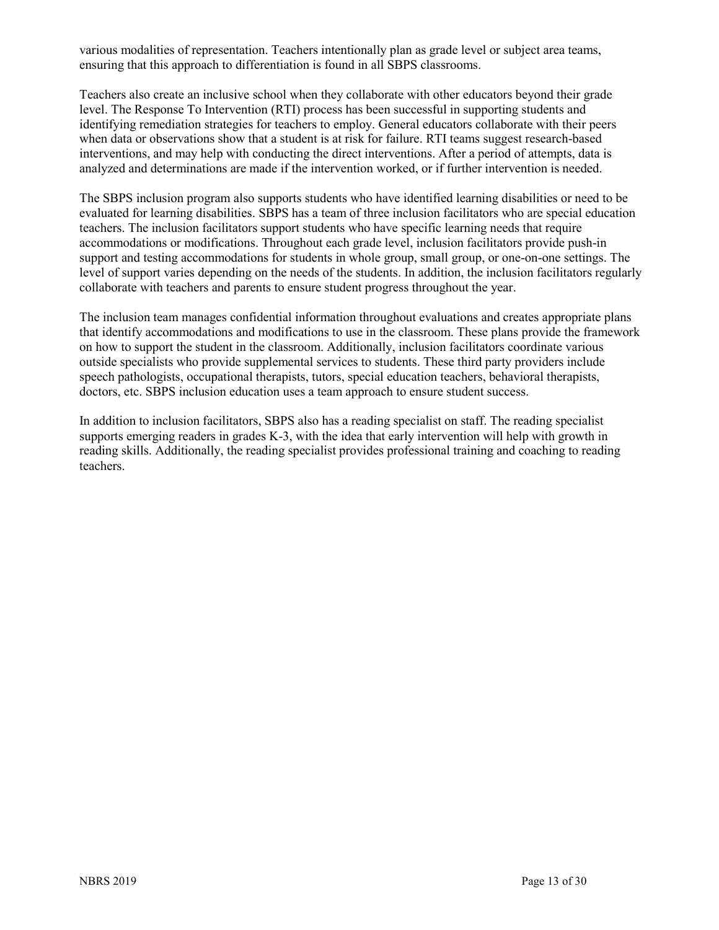various modalities of representation. Teachers intentionally plan as grade level or subject area teams, ensuring that this approach to differentiation is found in all SBPS classrooms.

Teachers also create an inclusive school when they collaborate with other educators beyond their grade level. The Response To Intervention (RTI) process has been successful in supporting students and identifying remediation strategies for teachers to employ. General educators collaborate with their peers when data or observations show that a student is at risk for failure. RTI teams suggest research-based interventions, and may help with conducting the direct interventions. After a period of attempts, data is analyzed and determinations are made if the intervention worked, or if further intervention is needed.

The SBPS inclusion program also supports students who have identified learning disabilities or need to be evaluated for learning disabilities. SBPS has a team of three inclusion facilitators who are special education teachers. The inclusion facilitators support students who have specific learning needs that require accommodations or modifications. Throughout each grade level, inclusion facilitators provide push-in support and testing accommodations for students in whole group, small group, or one-on-one settings. The level of support varies depending on the needs of the students. In addition, the inclusion facilitators regularly collaborate with teachers and parents to ensure student progress throughout the year.

The inclusion team manages confidential information throughout evaluations and creates appropriate plans that identify accommodations and modifications to use in the classroom. These plans provide the framework on how to support the student in the classroom. Additionally, inclusion facilitators coordinate various outside specialists who provide supplemental services to students. These third party providers include speech pathologists, occupational therapists, tutors, special education teachers, behavioral therapists, doctors, etc. SBPS inclusion education uses a team approach to ensure student success.

In addition to inclusion facilitators, SBPS also has a reading specialist on staff. The reading specialist supports emerging readers in grades K-3, with the idea that early intervention will help with growth in reading skills. Additionally, the reading specialist provides professional training and coaching to reading teachers.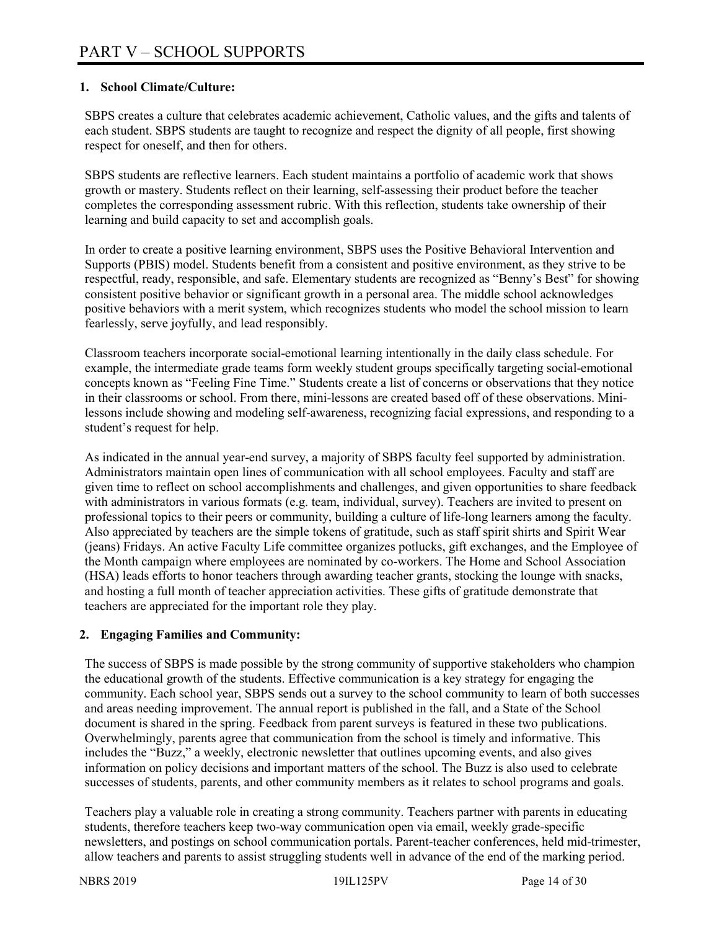### **1. School Climate/Culture:**

SBPS creates a culture that celebrates academic achievement, Catholic values, and the gifts and talents of each student. SBPS students are taught to recognize and respect the dignity of all people, first showing respect for oneself, and then for others.

SBPS students are reflective learners. Each student maintains a portfolio of academic work that shows growth or mastery. Students reflect on their learning, self-assessing their product before the teacher completes the corresponding assessment rubric. With this reflection, students take ownership of their learning and build capacity to set and accomplish goals.

In order to create a positive learning environment, SBPS uses the Positive Behavioral Intervention and Supports (PBIS) model. Students benefit from a consistent and positive environment, as they strive to be respectful, ready, responsible, and safe. Elementary students are recognized as "Benny's Best" for showing consistent positive behavior or significant growth in a personal area. The middle school acknowledges positive behaviors with a merit system, which recognizes students who model the school mission to learn fearlessly, serve joyfully, and lead responsibly.

Classroom teachers incorporate social-emotional learning intentionally in the daily class schedule. For example, the intermediate grade teams form weekly student groups specifically targeting social-emotional concepts known as "Feeling Fine Time." Students create a list of concerns or observations that they notice in their classrooms or school. From there, mini-lessons are created based off of these observations. Minilessons include showing and modeling self-awareness, recognizing facial expressions, and responding to a student's request for help.

As indicated in the annual year-end survey, a majority of SBPS faculty feel supported by administration. Administrators maintain open lines of communication with all school employees. Faculty and staff are given time to reflect on school accomplishments and challenges, and given opportunities to share feedback with administrators in various formats (e.g. team, individual, survey). Teachers are invited to present on professional topics to their peers or community, building a culture of life-long learners among the faculty. Also appreciated by teachers are the simple tokens of gratitude, such as staff spirit shirts and Spirit Wear (jeans) Fridays. An active Faculty Life committee organizes potlucks, gift exchanges, and the Employee of the Month campaign where employees are nominated by co-workers. The Home and School Association (HSA) leads efforts to honor teachers through awarding teacher grants, stocking the lounge with snacks, and hosting a full month of teacher appreciation activities. These gifts of gratitude demonstrate that teachers are appreciated for the important role they play.

### **2. Engaging Families and Community:**

The success of SBPS is made possible by the strong community of supportive stakeholders who champion the educational growth of the students. Effective communication is a key strategy for engaging the community. Each school year, SBPS sends out a survey to the school community to learn of both successes and areas needing improvement. The annual report is published in the fall, and a State of the School document is shared in the spring. Feedback from parent surveys is featured in these two publications. Overwhelmingly, parents agree that communication from the school is timely and informative. This includes the "Buzz," a weekly, electronic newsletter that outlines upcoming events, and also gives information on policy decisions and important matters of the school. The Buzz is also used to celebrate successes of students, parents, and other community members as it relates to school programs and goals.

Teachers play a valuable role in creating a strong community. Teachers partner with parents in educating students, therefore teachers keep two-way communication open via email, weekly grade-specific newsletters, and postings on school communication portals. Parent-teacher conferences, held mid-trimester, allow teachers and parents to assist struggling students well in advance of the end of the marking period.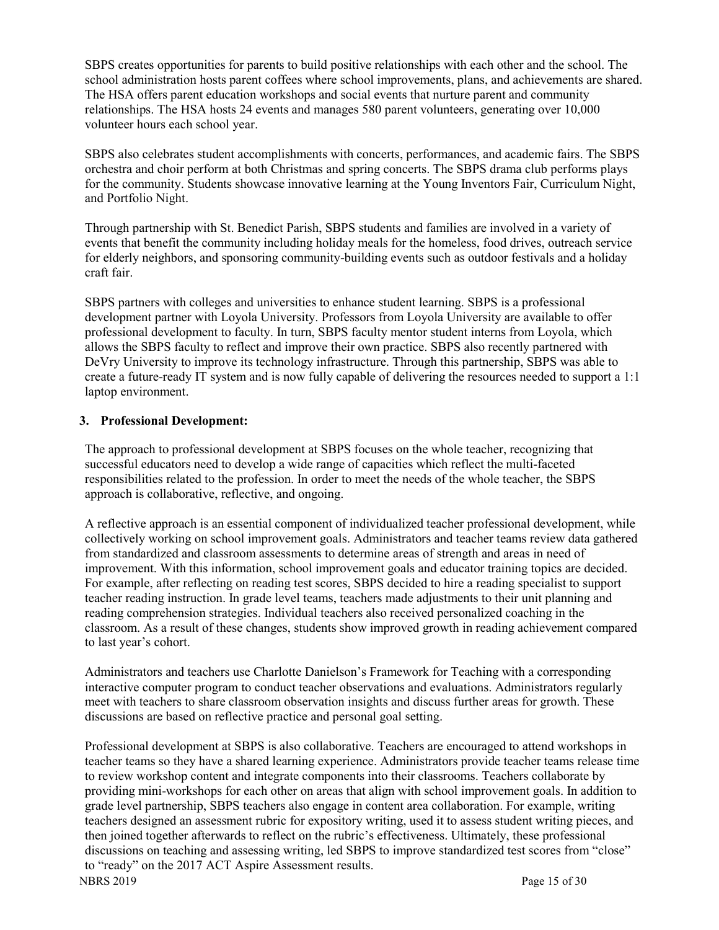SBPS creates opportunities for parents to build positive relationships with each other and the school. The school administration hosts parent coffees where school improvements, plans, and achievements are shared. The HSA offers parent education workshops and social events that nurture parent and community relationships. The HSA hosts 24 events and manages 580 parent volunteers, generating over 10,000 volunteer hours each school year.

SBPS also celebrates student accomplishments with concerts, performances, and academic fairs. The SBPS orchestra and choir perform at both Christmas and spring concerts. The SBPS drama club performs plays for the community. Students showcase innovative learning at the Young Inventors Fair, Curriculum Night, and Portfolio Night.

Through partnership with St. Benedict Parish, SBPS students and families are involved in a variety of events that benefit the community including holiday meals for the homeless, food drives, outreach service for elderly neighbors, and sponsoring community-building events such as outdoor festivals and a holiday craft fair.

SBPS partners with colleges and universities to enhance student learning. SBPS is a professional development partner with Loyola University. Professors from Loyola University are available to offer professional development to faculty. In turn, SBPS faculty mentor student interns from Loyola, which allows the SBPS faculty to reflect and improve their own practice. SBPS also recently partnered with DeVry University to improve its technology infrastructure. Through this partnership, SBPS was able to create a future-ready IT system and is now fully capable of delivering the resources needed to support a 1:1 laptop environment.

### **3. Professional Development:**

The approach to professional development at SBPS focuses on the whole teacher, recognizing that successful educators need to develop a wide range of capacities which reflect the multi-faceted responsibilities related to the profession. In order to meet the needs of the whole teacher, the SBPS approach is collaborative, reflective, and ongoing.

A reflective approach is an essential component of individualized teacher professional development, while collectively working on school improvement goals. Administrators and teacher teams review data gathered from standardized and classroom assessments to determine areas of strength and areas in need of improvement. With this information, school improvement goals and educator training topics are decided. For example, after reflecting on reading test scores, SBPS decided to hire a reading specialist to support teacher reading instruction. In grade level teams, teachers made adjustments to their unit planning and reading comprehension strategies. Individual teachers also received personalized coaching in the classroom. As a result of these changes, students show improved growth in reading achievement compared to last year's cohort.

Administrators and teachers use Charlotte Danielson's Framework for Teaching with a corresponding interactive computer program to conduct teacher observations and evaluations. Administrators regularly meet with teachers to share classroom observation insights and discuss further areas for growth. These discussions are based on reflective practice and personal goal setting.

Professional development at SBPS is also collaborative. Teachers are encouraged to attend workshops in teacher teams so they have a shared learning experience. Administrators provide teacher teams release time to review workshop content and integrate components into their classrooms. Teachers collaborate by providing mini-workshops for each other on areas that align with school improvement goals. In addition to grade level partnership, SBPS teachers also engage in content area collaboration. For example, writing teachers designed an assessment rubric for expository writing, used it to assess student writing pieces, and then joined together afterwards to reflect on the rubric's effectiveness. Ultimately, these professional discussions on teaching and assessing writing, led SBPS to improve standardized test scores from "close" to "ready" on the 2017 ACT Aspire Assessment results.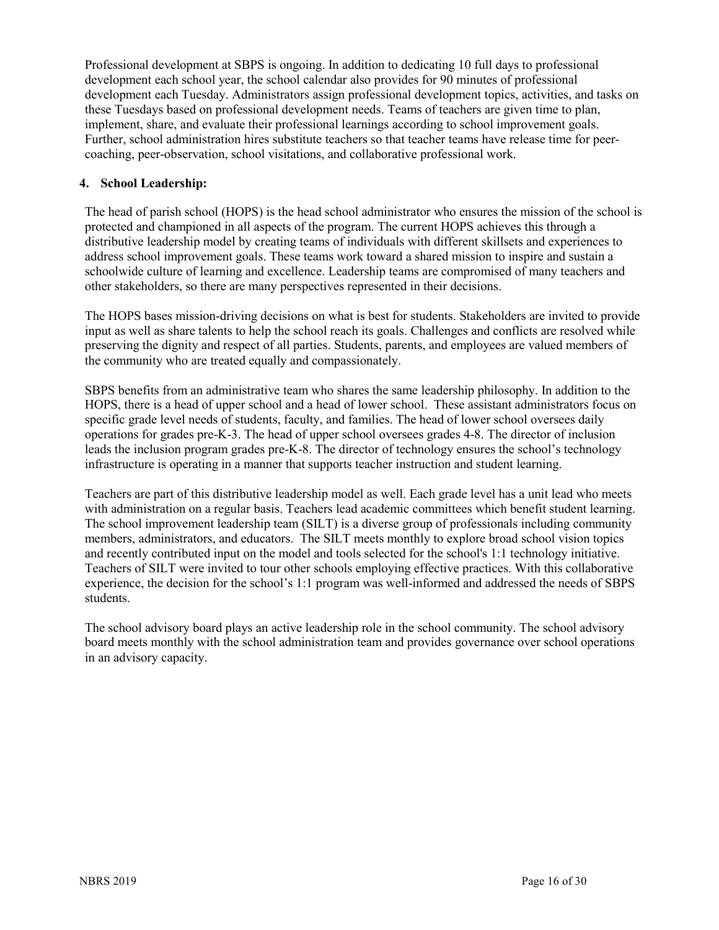Professional development at SBPS is ongoing. In addition to dedicating 10 full days to professional development each school year, the school calendar also provides for 90 minutes of professional development each Tuesday. Administrators assign professional development topics, activities, and tasks on these Tuesdays based on professional development needs. Teams of teachers are given time to plan, implement, share, and evaluate their professional learnings according to school improvement goals. Further, school administration hires substitute teachers so that teacher teams have release time for peercoaching, peer-observation, school visitations, and collaborative professional work.

### **4. School Leadership:**

The head of parish school (HOPS) is the head school administrator who ensures the mission of the school is protected and championed in all aspects of the program. The current HOPS achieves this through a distributive leadership model by creating teams of individuals with different skillsets and experiences to address school improvement goals. These teams work toward a shared mission to inspire and sustain a schoolwide culture of learning and excellence. Leadership teams are compromised of many teachers and other stakeholders, so there are many perspectives represented in their decisions.

The HOPS bases mission-driving decisions on what is best for students. Stakeholders are invited to provide input as well as share talents to help the school reach its goals. Challenges and conflicts are resolved while preserving the dignity and respect of all parties. Students, parents, and employees are valued members of the community who are treated equally and compassionately.

SBPS benefits from an administrative team who shares the same leadership philosophy. In addition to the HOPS, there is a head of upper school and a head of lower school. These assistant administrators focus on specific grade level needs of students, faculty, and families. The head of lower school oversees daily operations for grades pre-K-3. The head of upper school oversees grades 4-8. The director of inclusion leads the inclusion program grades pre-K-8. The director of technology ensures the school's technology infrastructure is operating in a manner that supports teacher instruction and student learning.

Teachers are part of this distributive leadership model as well. Each grade level has a unit lead who meets with administration on a regular basis. Teachers lead academic committees which benefit student learning. The school improvement leadership team (SILT) is a diverse group of professionals including community members, administrators, and educators. The SILT meets monthly to explore broad school vision topics and recently contributed input on the model and tools selected for the school's 1:1 technology initiative. Teachers of SILT were invited to tour other schools employing effective practices. With this collaborative experience, the decision for the school's 1:1 program was well-informed and addressed the needs of SBPS students.

The school advisory board plays an active leadership role in the school community. The school advisory board meets monthly with the school administration team and provides governance over school operations in an advisory capacity.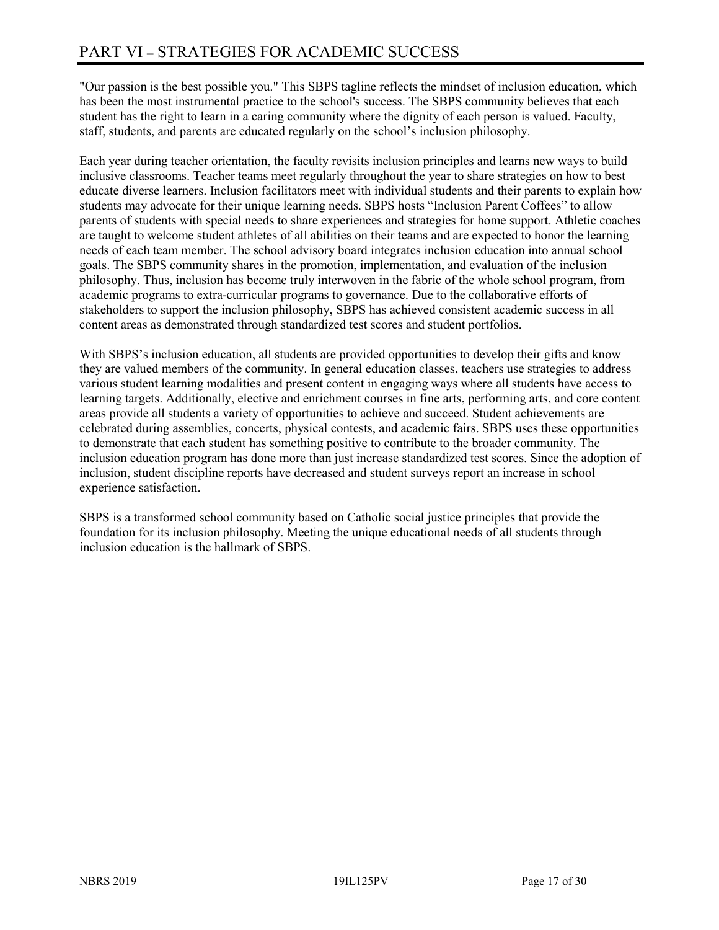"Our passion is the best possible you." This SBPS tagline reflects the mindset of inclusion education, which has been the most instrumental practice to the school's success. The SBPS community believes that each student has the right to learn in a caring community where the dignity of each person is valued. Faculty, staff, students, and parents are educated regularly on the school's inclusion philosophy.

Each year during teacher orientation, the faculty revisits inclusion principles and learns new ways to build inclusive classrooms. Teacher teams meet regularly throughout the year to share strategies on how to best educate diverse learners. Inclusion facilitators meet with individual students and their parents to explain how students may advocate for their unique learning needs. SBPS hosts "Inclusion Parent Coffees" to allow parents of students with special needs to share experiences and strategies for home support. Athletic coaches are taught to welcome student athletes of all abilities on their teams and are expected to honor the learning needs of each team member. The school advisory board integrates inclusion education into annual school goals. The SBPS community shares in the promotion, implementation, and evaluation of the inclusion philosophy. Thus, inclusion has become truly interwoven in the fabric of the whole school program, from academic programs to extra-curricular programs to governance. Due to the collaborative efforts of stakeholders to support the inclusion philosophy, SBPS has achieved consistent academic success in all content areas as demonstrated through standardized test scores and student portfolios.

With SBPS's inclusion education, all students are provided opportunities to develop their gifts and know they are valued members of the community. In general education classes, teachers use strategies to address various student learning modalities and present content in engaging ways where all students have access to learning targets. Additionally, elective and enrichment courses in fine arts, performing arts, and core content areas provide all students a variety of opportunities to achieve and succeed. Student achievements are celebrated during assemblies, concerts, physical contests, and academic fairs. SBPS uses these opportunities to demonstrate that each student has something positive to contribute to the broader community. The inclusion education program has done more than just increase standardized test scores. Since the adoption of inclusion, student discipline reports have decreased and student surveys report an increase in school experience satisfaction.

SBPS is a transformed school community based on Catholic social justice principles that provide the foundation for its inclusion philosophy. Meeting the unique educational needs of all students through inclusion education is the hallmark of SBPS.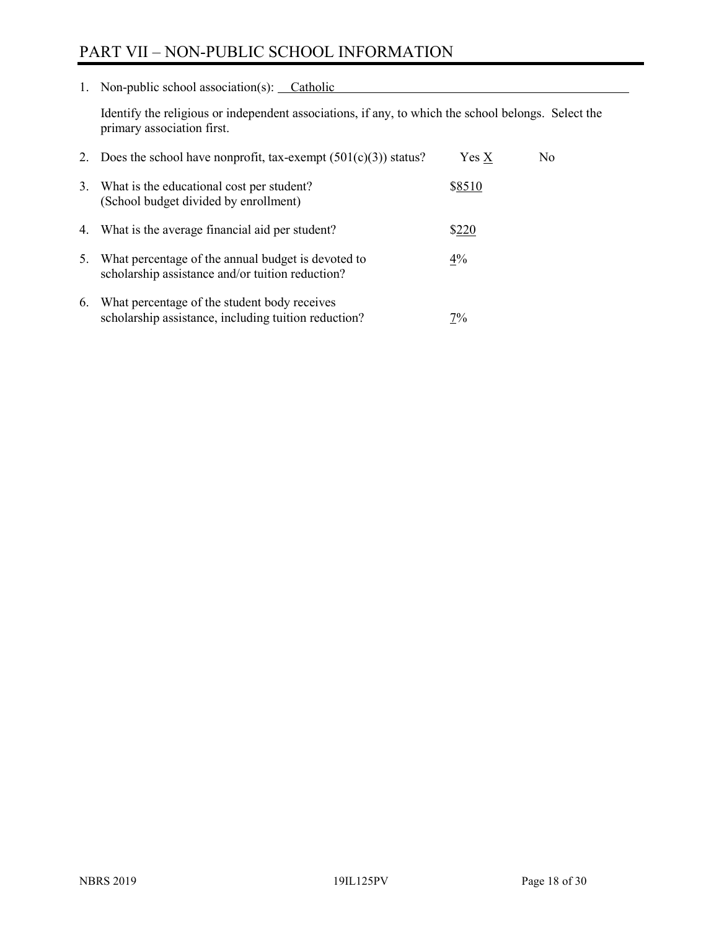# PART VII – NON-PUBLIC SCHOOL INFORMATION

1. Non-public school association(s): Catholic

Identify the religious or independent associations, if any, to which the school belongs. Select the primary association first.

|    | 2. Does the school have nonprofit, tax-exempt $(501(c)(3))$ status?                                    | $Yes\ X$ | No. |
|----|--------------------------------------------------------------------------------------------------------|----------|-----|
| 3. | What is the educational cost per student?<br>(School budget divided by enrollment)                     | \$8510   |     |
|    | 4. What is the average financial aid per student?                                                      | \$220    |     |
| 5. | What percentage of the annual budget is devoted to<br>scholarship assistance and/or tuition reduction? | $4\%$    |     |
| 6. | What percentage of the student body receives<br>scholarship assistance, including tuition reduction?   | 7%       |     |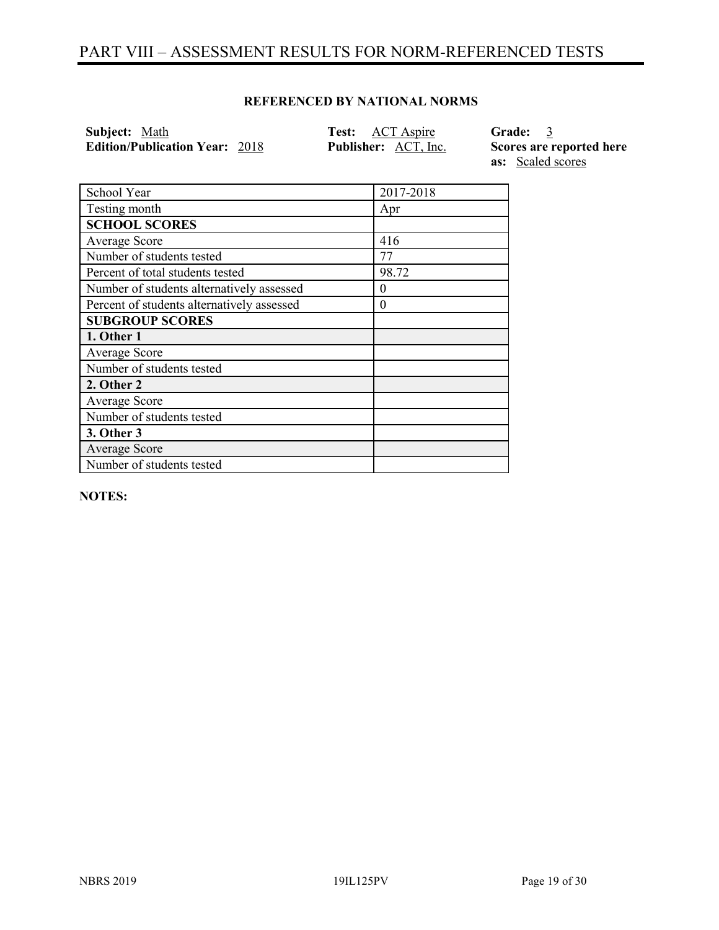# PART VIII – ASSESSMENT RESULTS FOR NORM-REFERENCED TESTS

### **REFERENCED BY NATIONAL NORMS**

**Subject:** Math **Test:** ACT Aspire **Grade:** 3 **Edition/Publication Year:** 2018 **Publisher:** ACT, Inc. **Scores are reported here** 

**as:** Scaled scores

| School Year                                | 2017-2018 |
|--------------------------------------------|-----------|
| Testing month                              | Apr       |
| <b>SCHOOL SCORES</b>                       |           |
| Average Score                              | 416       |
| Number of students tested                  | 77        |
| Percent of total students tested           | 98.72     |
| Number of students alternatively assessed  | $\theta$  |
| Percent of students alternatively assessed | $\theta$  |
| <b>SUBGROUP SCORES</b>                     |           |
| 1. Other 1                                 |           |
| Average Score                              |           |
| Number of students tested                  |           |
| 2. Other 2                                 |           |
| Average Score                              |           |
| Number of students tested                  |           |
| 3. Other 3                                 |           |
| Average Score                              |           |
| Number of students tested                  |           |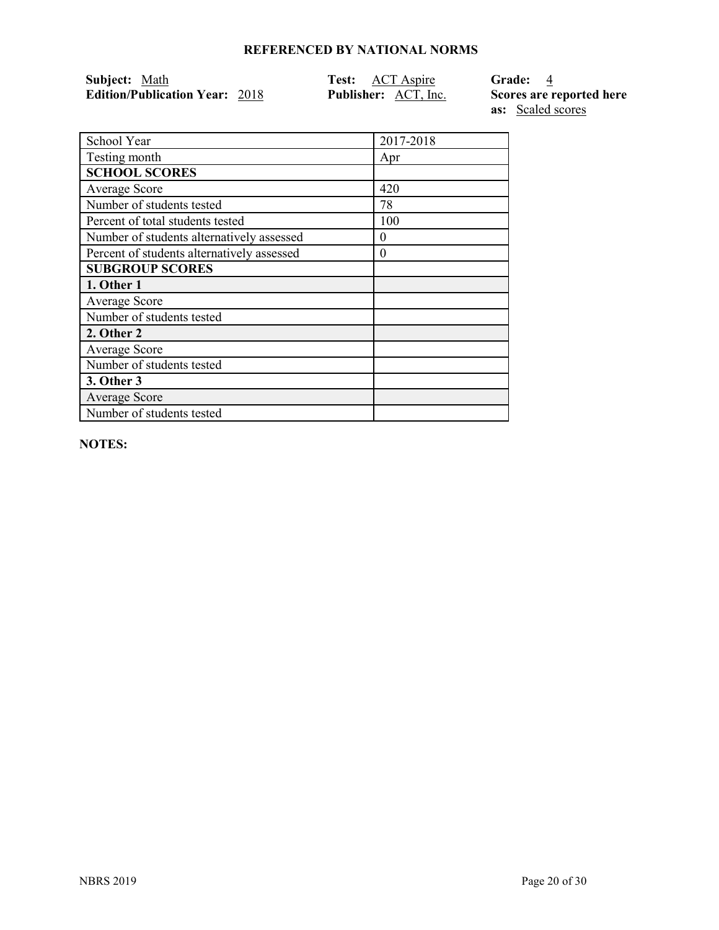| Subject: Math                         | <b>Test:</b> ACT Aspire     | Grade: 4                 |
|---------------------------------------|-----------------------------|--------------------------|
| <b>Edition/Publication Year: 2018</b> | <b>Publisher:</b> ACT, Inc. | Scores are reported here |
|                                       |                             | <b>as:</b> Scaled scores |

School Year 2017-2018 Testing month Apr **SCHOOL SCORES** Average Score 420<br>
Number of students tested 78 Number of students tested Percent of total students tested 100 Number of students alternatively assessed 0 Percent of students alternatively assessed 0 **SUBGROUP SCORES 1. Other 1** Average Score Number of students tested **2. Other 2** Average Score Number of students tested **3. Other 3** Average Score Number of students tested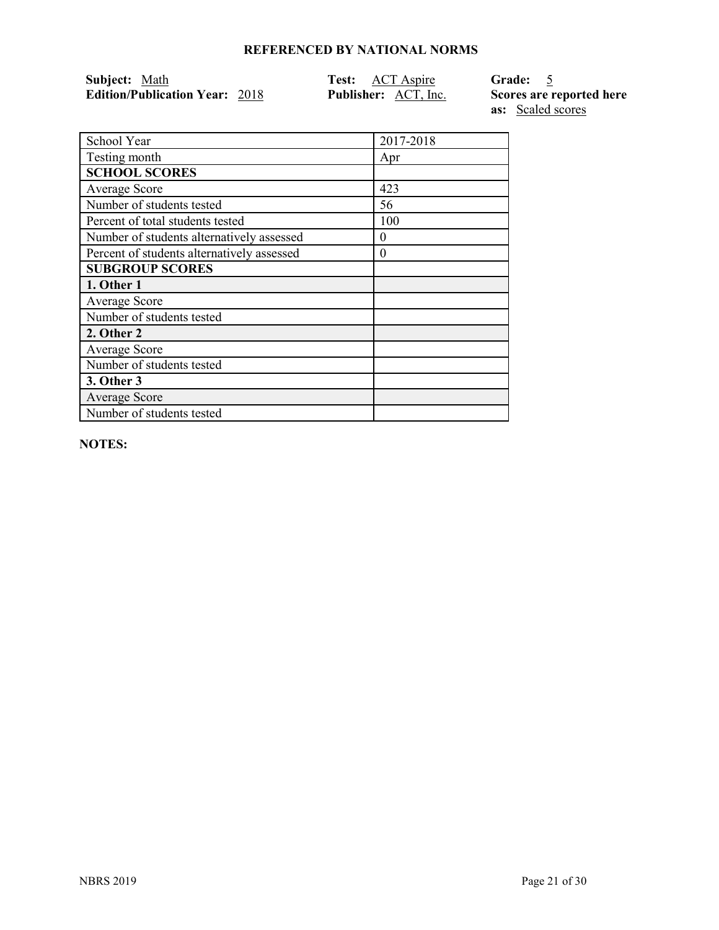| Subject: Math                         | <b>Test:</b> ACT Aspire     | Grade: 5                 |
|---------------------------------------|-----------------------------|--------------------------|
| <b>Edition/Publication Year: 2018</b> | <b>Publisher:</b> ACT, Inc. | Scores are reported here |
|                                       |                             | <b>as:</b> Scaled scores |

| School Year                                | 2017-2018 |
|--------------------------------------------|-----------|
| Testing month                              | Apr       |
| <b>SCHOOL SCORES</b>                       |           |
| <b>Average Score</b>                       | 423       |
| Number of students tested                  | 56        |
| Percent of total students tested           | 100       |
| Number of students alternatively assessed  | $\theta$  |
| Percent of students alternatively assessed | $\theta$  |
| <b>SUBGROUP SCORES</b>                     |           |
| 1. Other 1                                 |           |
| Average Score                              |           |
| Number of students tested                  |           |
| 2. Other 2                                 |           |
| <b>Average Score</b>                       |           |
| Number of students tested                  |           |
| <b>3. Other 3</b>                          |           |
| Average Score                              |           |
| Number of students tested                  |           |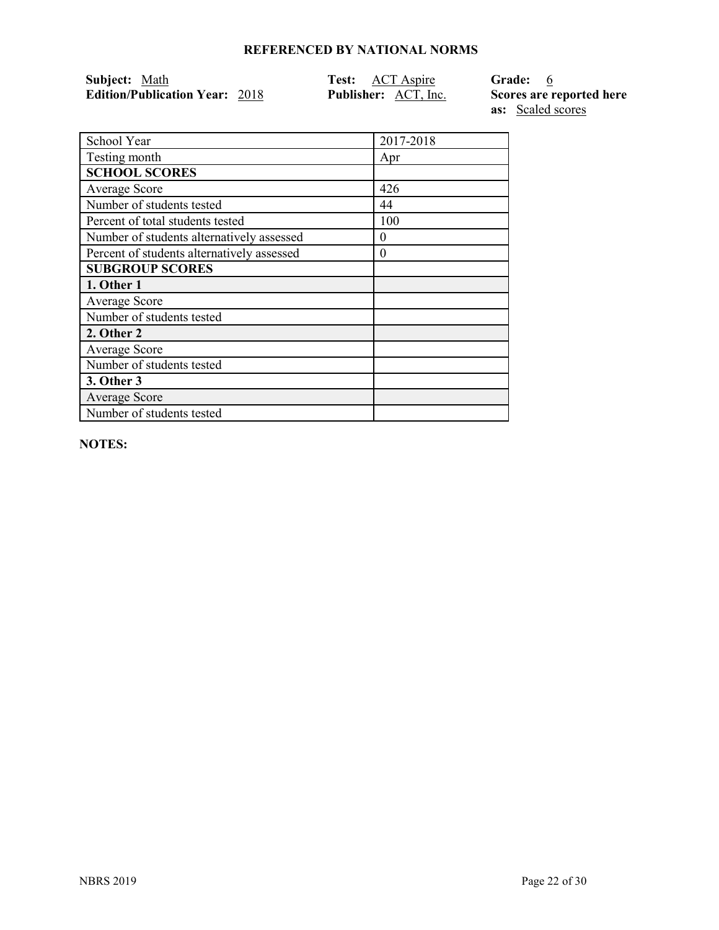| Subject: Math                         | Test: ACT Aspire            | Grade: 6                 |
|---------------------------------------|-----------------------------|--------------------------|
| <b>Edition/Publication Year: 2018</b> | <b>Publisher:</b> ACT, Inc. | Scores are reported here |

**as:** Scaled scores

| School Year                                | 2017-2018 |
|--------------------------------------------|-----------|
| Testing month                              | Apr       |
| <b>SCHOOL SCORES</b>                       |           |
| Average Score                              | 426       |
| Number of students tested                  | 44        |
| Percent of total students tested           | 100       |
| Number of students alternatively assessed  | $\theta$  |
| Percent of students alternatively assessed | $\theta$  |
| <b>SUBGROUP SCORES</b>                     |           |
| 1. Other 1                                 |           |
| Average Score                              |           |
| Number of students tested                  |           |
| 2. Other 2                                 |           |
| <b>Average Score</b>                       |           |
| Number of students tested                  |           |
| 3. Other 3                                 |           |
| <b>Average Score</b>                       |           |
| Number of students tested                  |           |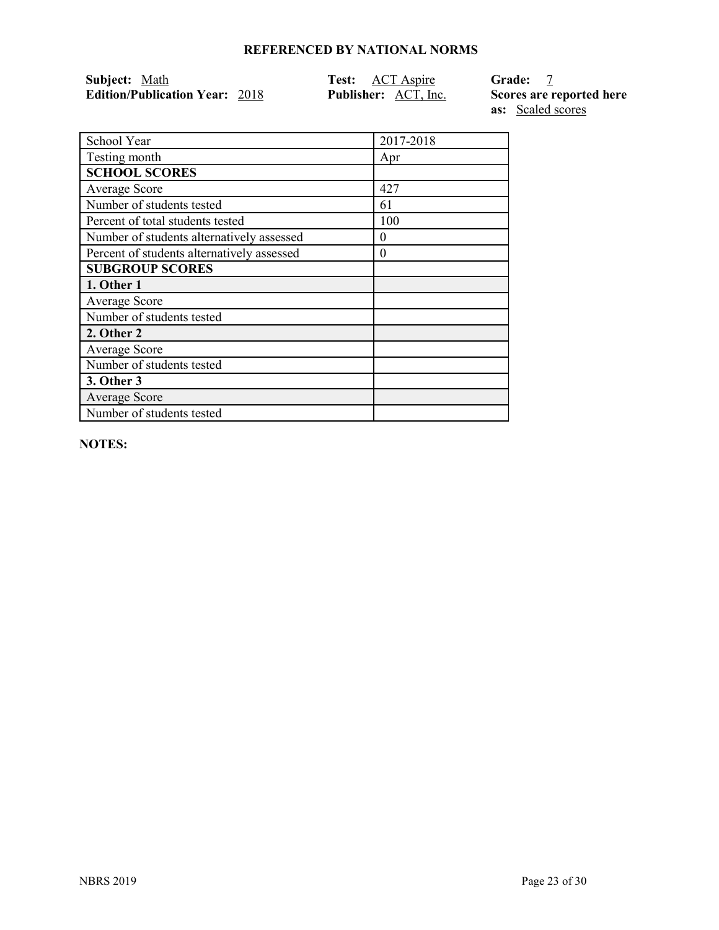| Subject: Math                         | Test: ACT Aspire            | <b>Grade:</b>            |
|---------------------------------------|-----------------------------|--------------------------|
| <b>Edition/Publication Year: 2018</b> | <b>Publisher:</b> ACT, Inc. | Scores are reported here |

**as:** Scaled scores

| School Year                                | 2017-2018 |
|--------------------------------------------|-----------|
| Testing month                              | Apr       |
| <b>SCHOOL SCORES</b>                       |           |
| Average Score                              | 427       |
| Number of students tested                  | 61        |
| Percent of total students tested           | 100       |
| Number of students alternatively assessed  | $\theta$  |
| Percent of students alternatively assessed | $\theta$  |
| <b>SUBGROUP SCORES</b>                     |           |
| 1. Other 1                                 |           |
| Average Score                              |           |
| Number of students tested                  |           |
| 2. Other 2                                 |           |
| Average Score                              |           |
| Number of students tested                  |           |
| 3. Other 3                                 |           |
| <b>Average Score</b>                       |           |
| Number of students tested                  |           |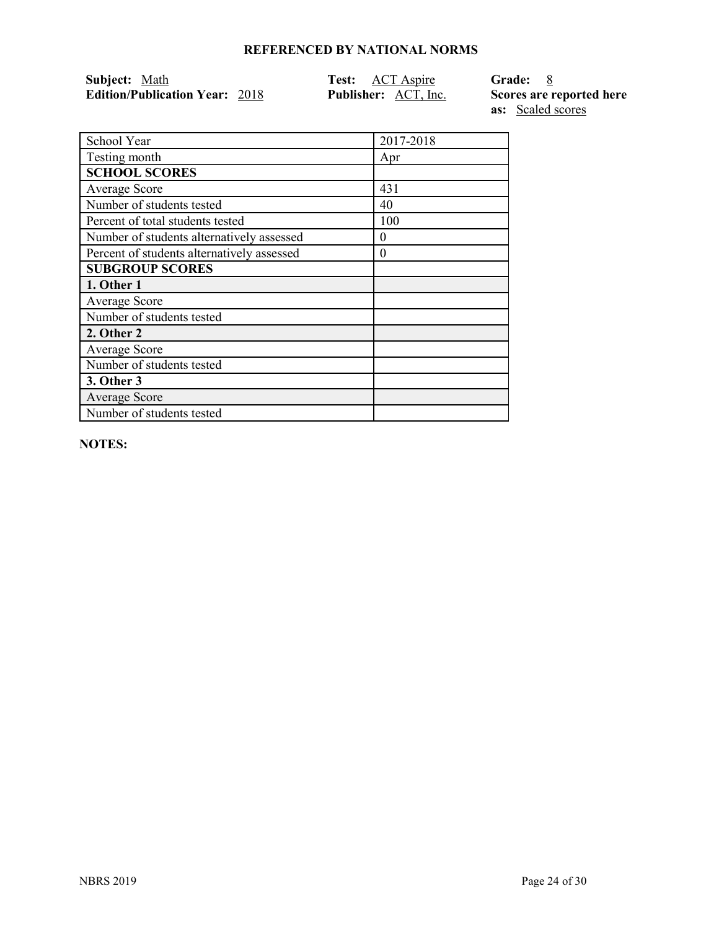| Subject: Math                         | Test: ACT Aspire            | Grade: 8                 |
|---------------------------------------|-----------------------------|--------------------------|
| <b>Edition/Publication Year: 2018</b> | <b>Publisher:</b> ACT, Inc. | Scores are reported here |

**as:** Scaled scores

| School Year                                | 2017-2018 |
|--------------------------------------------|-----------|
| Testing month                              | Apr       |
| <b>SCHOOL SCORES</b>                       |           |
| Average Score                              | 431       |
| Number of students tested                  | 40        |
| Percent of total students tested           | 100       |
| Number of students alternatively assessed  | $\theta$  |
| Percent of students alternatively assessed | $\theta$  |
| <b>SUBGROUP SCORES</b>                     |           |
| 1. Other 1                                 |           |
| Average Score                              |           |
| Number of students tested                  |           |
| 2. Other 2                                 |           |
| Average Score                              |           |
| Number of students tested                  |           |
| 3. Other 3                                 |           |
| <b>Average Score</b>                       |           |
| Number of students tested                  |           |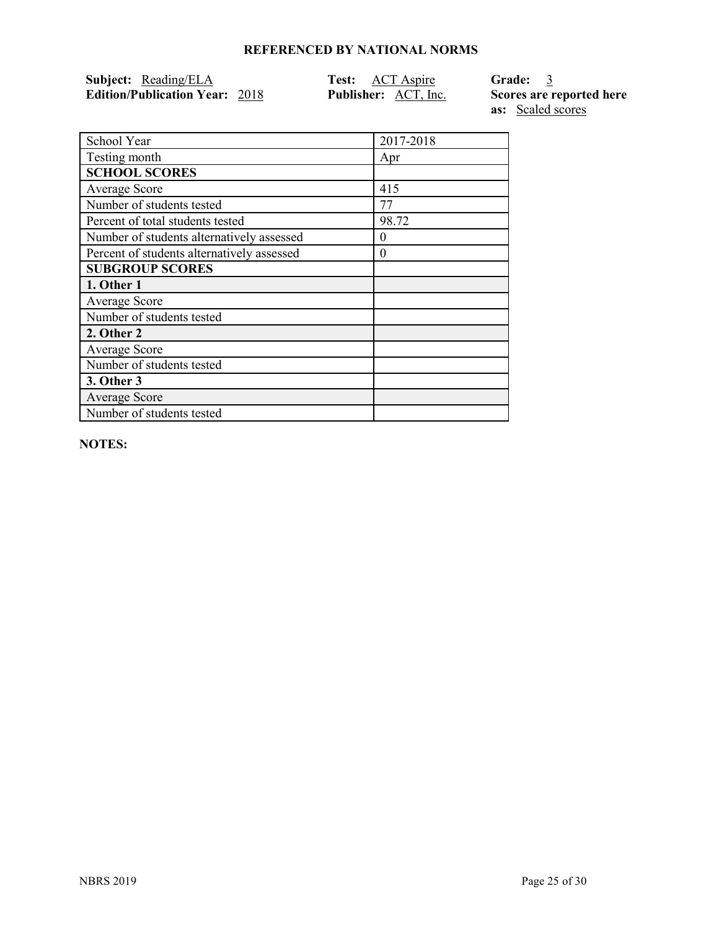| Subject: Reading/ELA                  | <b>Test:</b> ACT Aspire     | Grade: 3                 |
|---------------------------------------|-----------------------------|--------------------------|
| <b>Edition/Publication Year: 2018</b> | <b>Publisher:</b> ACT, Inc. | Scores are reported here |

**as:** Scaled scores

| School Year                                | 2017-2018 |
|--------------------------------------------|-----------|
| Testing month                              | Apr       |
| <b>SCHOOL SCORES</b>                       |           |
| Average Score                              | 415       |
| Number of students tested                  | 77        |
| Percent of total students tested           | 98.72     |
| Number of students alternatively assessed  | 0         |
| Percent of students alternatively assessed | $\theta$  |
| <b>SUBGROUP SCORES</b>                     |           |
| 1. Other 1                                 |           |
| Average Score                              |           |
| Number of students tested                  |           |
| 2. Other 2                                 |           |
| Average Score                              |           |
| Number of students tested                  |           |
| 3. Other 3                                 |           |
| <b>Average Score</b>                       |           |
| Number of students tested                  |           |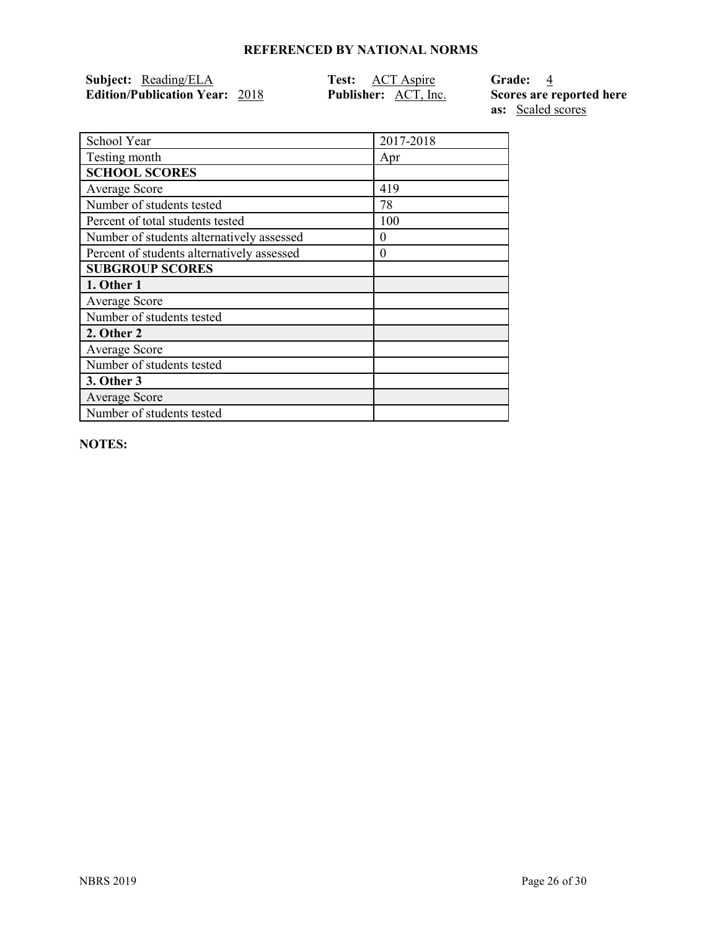| Subject: Reading/ELA                  | <b>Test:</b> ACT Aspire     | Grade: 4                 |
|---------------------------------------|-----------------------------|--------------------------|
| <b>Edition/Publication Year: 2018</b> | <b>Publisher:</b> ACT, Inc. | Scores are reported here |

**as:** Scaled scores

| School Year                                | 2017-2018 |
|--------------------------------------------|-----------|
| Testing month                              | Apr       |
| <b>SCHOOL SCORES</b>                       |           |
| Average Score                              | 419       |
| Number of students tested                  | 78        |
| Percent of total students tested           | 100       |
| Number of students alternatively assessed  | $\Omega$  |
| Percent of students alternatively assessed | $\theta$  |
| <b>SUBGROUP SCORES</b>                     |           |
| 1. Other 1                                 |           |
| Average Score                              |           |
| Number of students tested                  |           |
| 2. Other 2                                 |           |
| Average Score                              |           |
| Number of students tested                  |           |
| 3. Other 3                                 |           |
| <b>Average Score</b>                       |           |
| Number of students tested                  |           |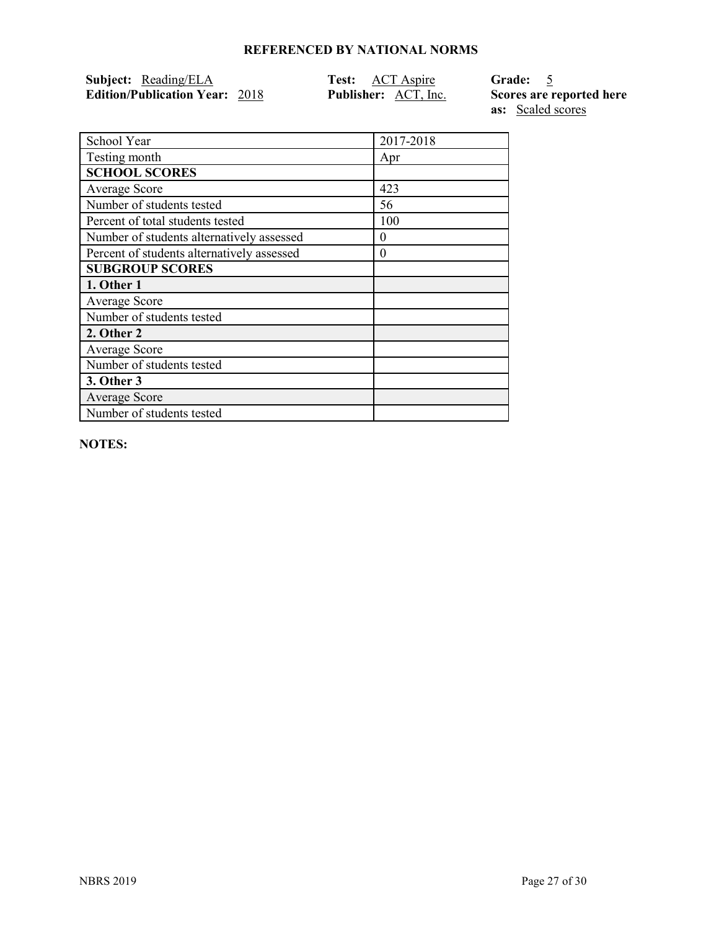| Subject: Reading/ELA                  | Test: ACT Aspire            | Grade: 5                 |
|---------------------------------------|-----------------------------|--------------------------|
| <b>Edition/Publication Year: 2018</b> | <b>Publisher:</b> ACT, Inc. | Scores are reported here |

**as:** Scaled scores

| School Year                                | 2017-2018 |
|--------------------------------------------|-----------|
| Testing month                              | Apr       |
| <b>SCHOOL SCORES</b>                       |           |
| Average Score                              | 423       |
| Number of students tested                  | 56        |
| Percent of total students tested           | 100       |
| Number of students alternatively assessed  | 0         |
| Percent of students alternatively assessed | 0         |
| <b>SUBGROUP SCORES</b>                     |           |
| 1. Other 1                                 |           |
| Average Score                              |           |
| Number of students tested                  |           |
| 2. Other 2                                 |           |
| <b>Average Score</b>                       |           |
| Number of students tested                  |           |
| 3. Other 3                                 |           |
| <b>Average Score</b>                       |           |
| Number of students tested                  |           |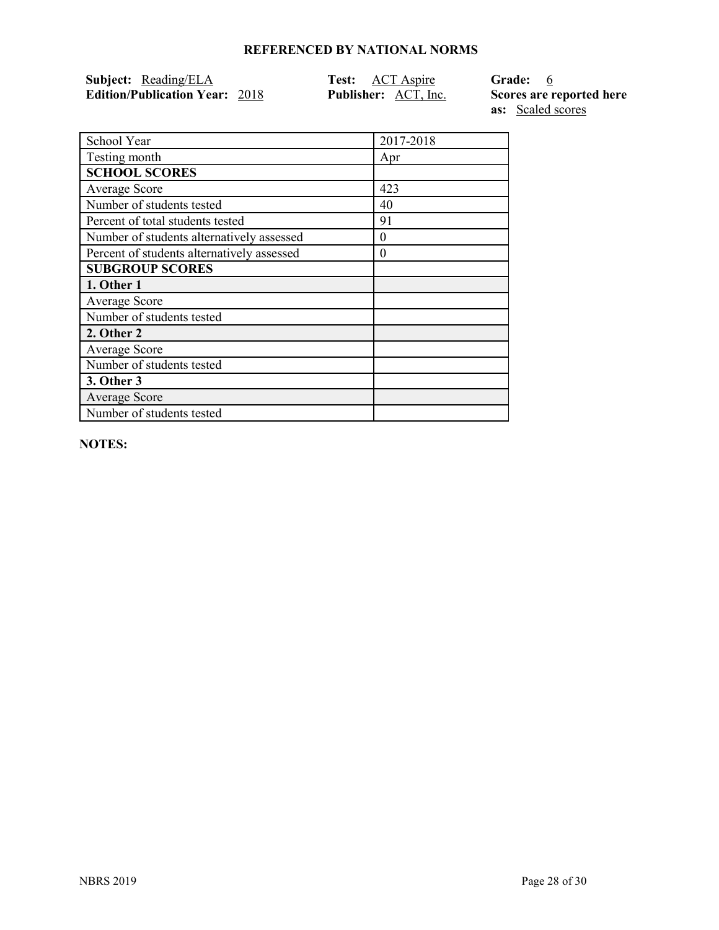| Subject: Reading/ELA                  | <b>Test:</b> ACT Aspire     | Grade: 6                 |
|---------------------------------------|-----------------------------|--------------------------|
| <b>Edition/Publication Year: 2018</b> | <b>Publisher:</b> ACT, Inc. | Scores are reported here |
|                                       |                             | <b>as:</b> Scaled scores |

| School Year                                | 2017-2018 |
|--------------------------------------------|-----------|
| Testing month                              | Apr       |
| <b>SCHOOL SCORES</b>                       |           |
| Average Score                              | 423       |
| Number of students tested                  | 40        |
| Percent of total students tested           | 91        |
| Number of students alternatively assessed  | 0         |
| Percent of students alternatively assessed | $\theta$  |
| <b>SUBGROUP SCORES</b>                     |           |
| 1. Other 1                                 |           |
| Average Score                              |           |
| Number of students tested                  |           |
| 2. Other 2                                 |           |
| Average Score                              |           |
| Number of students tested                  |           |
| 3. Other 3                                 |           |
| <b>Average Score</b>                       |           |
| Number of students tested                  |           |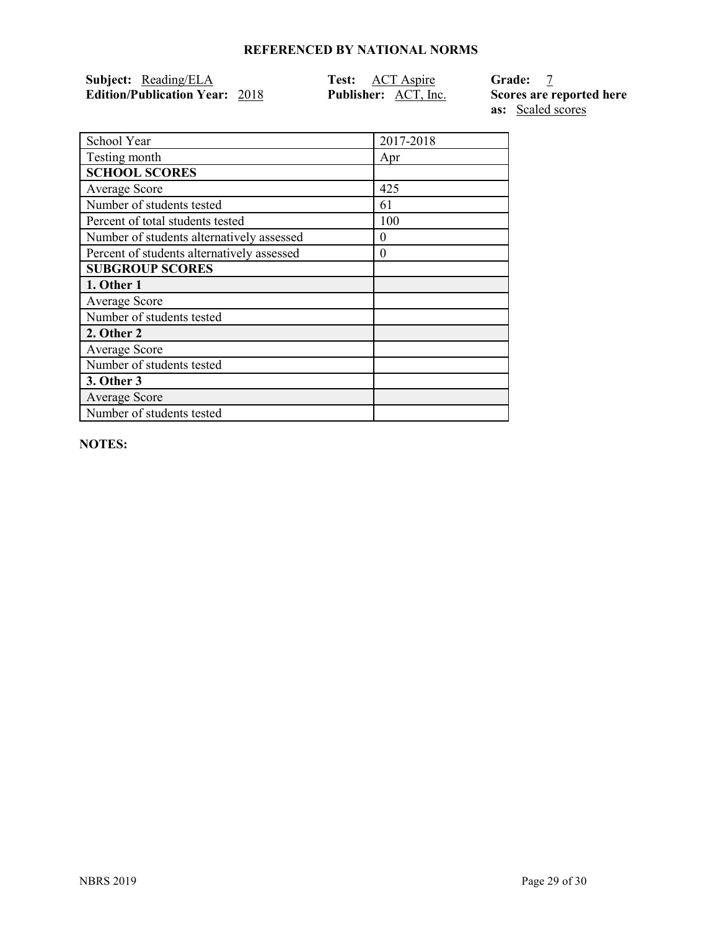| Subject: Reading/ELA                  | <b>Test:</b> ACT Aspire     | <b>Grade:</b>            |
|---------------------------------------|-----------------------------|--------------------------|
| <b>Edition/Publication Year: 2018</b> | <b>Publisher:</b> ACT, Inc. | Scores are reported here |

**as:** Scaled scores

| School Year                                | 2017-2018 |
|--------------------------------------------|-----------|
| Testing month                              | Apr       |
| <b>SCHOOL SCORES</b>                       |           |
| Average Score                              | 425       |
| Number of students tested                  | 61        |
| Percent of total students tested           | 100       |
| Number of students alternatively assessed  | 0         |
| Percent of students alternatively assessed | 0         |
| <b>SUBGROUP SCORES</b>                     |           |
| 1. Other 1                                 |           |
| Average Score                              |           |
| Number of students tested                  |           |
| 2. Other 2                                 |           |
| Average Score                              |           |
| Number of students tested                  |           |
| 3. Other 3                                 |           |
| Average Score                              |           |
| Number of students tested                  |           |